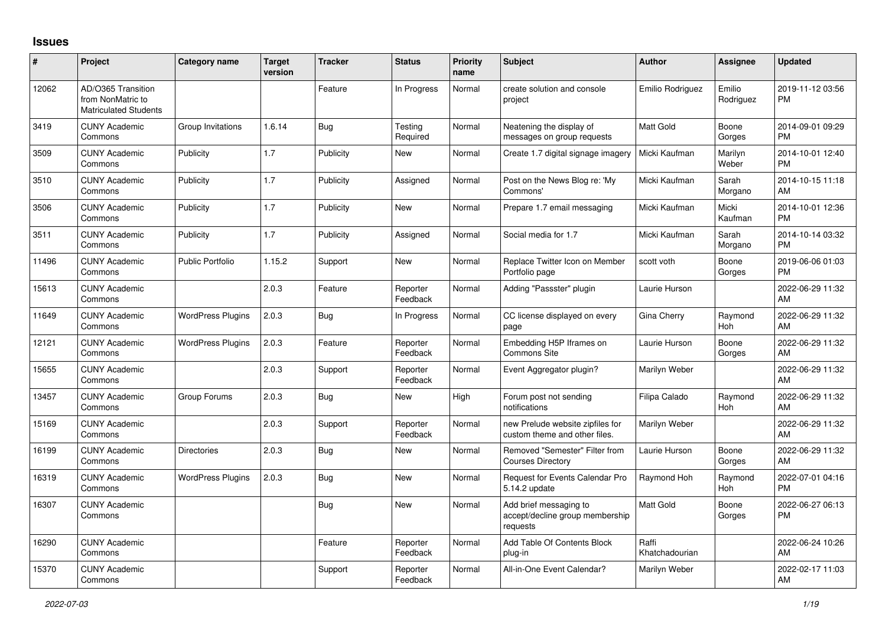## **Issues**

| $\pmb{\#}$ | Project                                                                 | <b>Category name</b>     | <b>Target</b><br>version | <b>Tracker</b> | <b>Status</b>        | <b>Priority</b><br>name | <b>Subject</b>                                                        | <b>Author</b>           | Assignee              | <b>Updated</b>                |
|------------|-------------------------------------------------------------------------|--------------------------|--------------------------|----------------|----------------------|-------------------------|-----------------------------------------------------------------------|-------------------------|-----------------------|-------------------------------|
| 12062      | AD/O365 Transition<br>from NonMatric to<br><b>Matriculated Students</b> |                          |                          | Feature        | In Progress          | Normal                  | create solution and console<br>project                                | Emilio Rodriguez        | Emilio<br>Rodriguez   | 2019-11-12 03:56<br><b>PM</b> |
| 3419       | <b>CUNY Academic</b><br>Commons                                         | Group Invitations        | 1.6.14                   | Bug            | Testing<br>Required  | Normal                  | Neatening the display of<br>messages on group requests                | <b>Matt Gold</b>        | Boone<br>Gorges       | 2014-09-01 09:29<br><b>PM</b> |
| 3509       | <b>CUNY Academic</b><br>Commons                                         | Publicity                | 1.7                      | Publicity      | <b>New</b>           | Normal                  | Create 1.7 digital signage imagery                                    | Micki Kaufman           | Marilyn<br>Weber      | 2014-10-01 12:40<br><b>PM</b> |
| 3510       | <b>CUNY Academic</b><br>Commons                                         | Publicity                | 1.7                      | Publicity      | Assigned             | Normal                  | Post on the News Blog re: 'My<br>Commons'                             | Micki Kaufman           | Sarah<br>Morgano      | 2014-10-15 11:18<br>AM        |
| 3506       | <b>CUNY Academic</b><br>Commons                                         | Publicity                | 1.7                      | Publicity      | New                  | Normal                  | Prepare 1.7 email messaging                                           | Micki Kaufman           | Micki<br>Kaufman      | 2014-10-01 12:36<br><b>PM</b> |
| 3511       | <b>CUNY Academic</b><br>Commons                                         | Publicity                | 1.7                      | Publicity      | Assigned             | Normal                  | Social media for 1.7                                                  | Micki Kaufman           | Sarah<br>Morgano      | 2014-10-14 03:32<br><b>PM</b> |
| 11496      | <b>CUNY Academic</b><br>Commons                                         | <b>Public Portfolio</b>  | 1.15.2                   | Support        | New                  | Normal                  | Replace Twitter Icon on Member<br>Portfolio page                      | scott voth              | Boone<br>Gorges       | 2019-06-06 01:03<br><b>PM</b> |
| 15613      | <b>CUNY Academic</b><br>Commons                                         |                          | 2.0.3                    | Feature        | Reporter<br>Feedback | Normal                  | Adding "Passster" plugin                                              | Laurie Hurson           |                       | 2022-06-29 11:32<br>AM        |
| 11649      | <b>CUNY Academic</b><br>Commons                                         | <b>WordPress Plugins</b> | 2.0.3                    | <b>Bug</b>     | In Progress          | Normal                  | CC license displayed on every<br>page                                 | Gina Cherry             | Raymond<br><b>Hoh</b> | 2022-06-29 11:32<br>AM        |
| 12121      | <b>CUNY Academic</b><br>Commons                                         | <b>WordPress Plugins</b> | 2.0.3                    | Feature        | Reporter<br>Feedback | Normal                  | Embedding H5P Iframes on<br>Commons Site                              | Laurie Hurson           | Boone<br>Gorges       | 2022-06-29 11:32<br>AM        |
| 15655      | <b>CUNY Academic</b><br>Commons                                         |                          | 2.0.3                    | Support        | Reporter<br>Feedback | Normal                  | Event Aggregator plugin?                                              | Marilyn Weber           |                       | 2022-06-29 11:32<br>AM        |
| 13457      | <b>CUNY Academic</b><br>Commons                                         | Group Forums             | 2.0.3                    | Bug            | New                  | High                    | Forum post not sending<br>notifications                               | Filipa Calado           | Raymond<br>Hoh        | 2022-06-29 11:32<br>AM        |
| 15169      | <b>CUNY Academic</b><br>Commons                                         |                          | 2.0.3                    | Support        | Reporter<br>Feedback | Normal                  | new Prelude website zipfiles for<br>custom theme and other files.     | Marilyn Weber           |                       | 2022-06-29 11:32<br>AM        |
| 16199      | <b>CUNY Academic</b><br>Commons                                         | Directories              | 2.0.3                    | Bug            | New                  | Normal                  | Removed "Semester" Filter from<br><b>Courses Directory</b>            | Laurie Hurson           | Boone<br>Gorges       | 2022-06-29 11:32<br>AM        |
| 16319      | <b>CUNY Academic</b><br>Commons                                         | <b>WordPress Plugins</b> | 2.0.3                    | <b>Bug</b>     | <b>New</b>           | Normal                  | <b>Request for Events Calendar Pro</b><br>5.14.2 update               | Raymond Hoh             | Raymond<br>Hoh        | 2022-07-01 04:16<br><b>PM</b> |
| 16307      | <b>CUNY Academic</b><br>Commons                                         |                          |                          | Bug            | <b>New</b>           | Normal                  | Add brief messaging to<br>accept/decline group membership<br>requests | <b>Matt Gold</b>        | Boone<br>Gorges       | 2022-06-27 06:13<br><b>PM</b> |
| 16290      | <b>CUNY Academic</b><br>Commons                                         |                          |                          | Feature        | Reporter<br>Feedback | Normal                  | Add Table Of Contents Block<br>plug-in                                | Raffi<br>Khatchadourian |                       | 2022-06-24 10:26<br>AM        |
| 15370      | <b>CUNY Academic</b><br>Commons                                         |                          |                          | Support        | Reporter<br>Feedback | Normal                  | All-in-One Event Calendar?                                            | Marilyn Weber           |                       | 2022-02-17 11:03<br>AM        |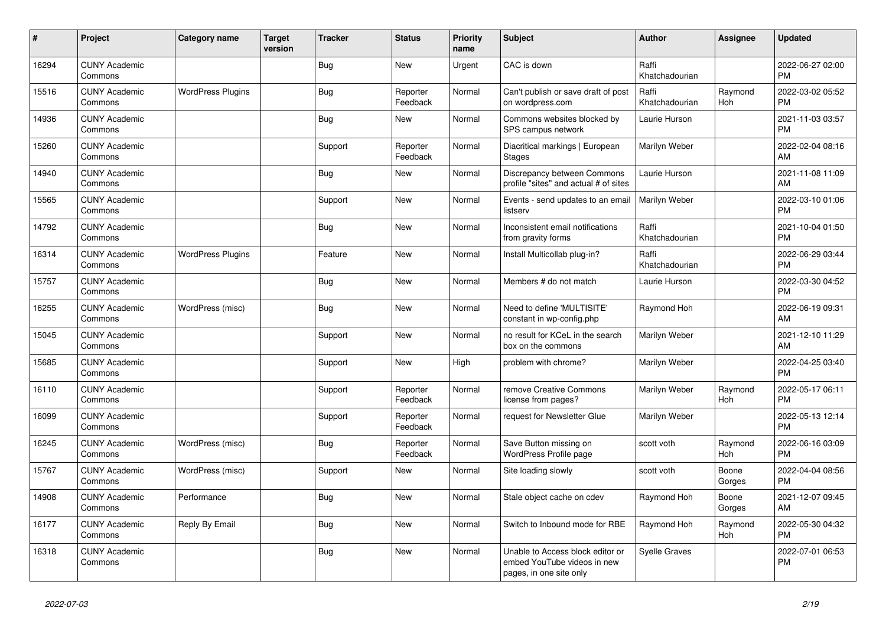| #     | Project                         | <b>Category name</b>     | <b>Target</b><br>version | <b>Tracker</b> | <b>Status</b>        | <b>Priority</b><br>name | Subject                                                                                    | <b>Author</b>           | <b>Assignee</b> | <b>Updated</b>                |
|-------|---------------------------------|--------------------------|--------------------------|----------------|----------------------|-------------------------|--------------------------------------------------------------------------------------------|-------------------------|-----------------|-------------------------------|
| 16294 | <b>CUNY Academic</b><br>Commons |                          |                          | <b>Bug</b>     | New                  | Urgent                  | CAC is down                                                                                | Raffi<br>Khatchadourian |                 | 2022-06-27 02:00<br><b>PM</b> |
| 15516 | <b>CUNY Academic</b><br>Commons | <b>WordPress Plugins</b> |                          | Bug            | Reporter<br>Feedback | Normal                  | Can't publish or save draft of post<br>on wordpress.com                                    | Raffi<br>Khatchadourian | Raymond<br>Hoh  | 2022-03-02 05:52<br><b>PM</b> |
| 14936 | <b>CUNY Academic</b><br>Commons |                          |                          | Bug            | <b>New</b>           | Normal                  | Commons websites blocked by<br>SPS campus network                                          | Laurie Hurson           |                 | 2021-11-03 03:57<br><b>PM</b> |
| 15260 | <b>CUNY Academic</b><br>Commons |                          |                          | Support        | Reporter<br>Feedback | Normal                  | Diacritical markings   European<br><b>Stages</b>                                           | Marilyn Weber           |                 | 2022-02-04 08:16<br>AM        |
| 14940 | <b>CUNY Academic</b><br>Commons |                          |                          | Bug            | <b>New</b>           | Normal                  | Discrepancy between Commons<br>profile "sites" and actual # of sites                       | Laurie Hurson           |                 | 2021-11-08 11:09<br>AM        |
| 15565 | <b>CUNY Academic</b><br>Commons |                          |                          | Support        | <b>New</b>           | Normal                  | Events - send updates to an email<br>listserv                                              | Marilyn Weber           |                 | 2022-03-10 01:06<br><b>PM</b> |
| 14792 | <b>CUNY Academic</b><br>Commons |                          |                          | Bug            | <b>New</b>           | Normal                  | Inconsistent email notifications<br>from gravity forms                                     | Raffi<br>Khatchadourian |                 | 2021-10-04 01:50<br><b>PM</b> |
| 16314 | <b>CUNY Academic</b><br>Commons | <b>WordPress Plugins</b> |                          | Feature        | <b>New</b>           | Normal                  | Install Multicollab plug-in?                                                               | Raffi<br>Khatchadourian |                 | 2022-06-29 03:44<br><b>PM</b> |
| 15757 | <b>CUNY Academic</b><br>Commons |                          |                          | Bug            | <b>New</b>           | Normal                  | Members # do not match                                                                     | Laurie Hurson           |                 | 2022-03-30 04:52<br><b>PM</b> |
| 16255 | <b>CUNY Academic</b><br>Commons | WordPress (misc)         |                          | <b>Bug</b>     | <b>New</b>           | Normal                  | Need to define 'MULTISITE'<br>constant in wp-config.php                                    | Raymond Hoh             |                 | 2022-06-19 09:31<br>AM        |
| 15045 | <b>CUNY Academic</b><br>Commons |                          |                          | Support        | <b>New</b>           | Normal                  | no result for KCeL in the search<br>box on the commons                                     | Marilyn Weber           |                 | 2021-12-10 11:29<br>AM        |
| 15685 | <b>CUNY Academic</b><br>Commons |                          |                          | Support        | <b>New</b>           | High                    | problem with chrome?                                                                       | Marilyn Weber           |                 | 2022-04-25 03:40<br><b>PM</b> |
| 16110 | <b>CUNY Academic</b><br>Commons |                          |                          | Support        | Reporter<br>Feedback | Normal                  | remove Creative Commons<br>license from pages?                                             | Marilyn Weber           | Raymond<br>Hoh  | 2022-05-17 06:11<br><b>PM</b> |
| 16099 | <b>CUNY Academic</b><br>Commons |                          |                          | Support        | Reporter<br>Feedback | Normal                  | request for Newsletter Glue                                                                | Marilyn Weber           |                 | 2022-05-13 12:14<br><b>PM</b> |
| 16245 | <b>CUNY Academic</b><br>Commons | WordPress (misc)         |                          | Bug            | Reporter<br>Feedback | Normal                  | Save Button missing on<br>WordPress Profile page                                           | scott voth              | Raymond<br>Hoh  | 2022-06-16 03:09<br><b>PM</b> |
| 15767 | <b>CUNY Academic</b><br>Commons | WordPress (misc)         |                          | Support        | <b>New</b>           | Normal                  | Site loading slowly                                                                        | scott voth              | Boone<br>Gorges | 2022-04-04 08:56<br><b>PM</b> |
| 14908 | <b>CUNY Academic</b><br>Commons | Performance              |                          | Bug            | <b>New</b>           | Normal                  | Stale object cache on cdev                                                                 | Raymond Hoh             | Boone<br>Gorges | 2021-12-07 09:45<br>AM        |
| 16177 | <b>CUNY Academic</b><br>Commons | Reply By Email           |                          | <b>Bug</b>     | <b>New</b>           | Normal                  | Switch to Inbound mode for RBE                                                             | Raymond Hoh             | Raymond<br>Hoh  | 2022-05-30 04:32<br><b>PM</b> |
| 16318 | <b>CUNY Academic</b><br>Commons |                          |                          | Bug            | <b>New</b>           | Normal                  | Unable to Access block editor or<br>embed YouTube videos in new<br>pages, in one site only | Syelle Graves           |                 | 2022-07-01 06:53<br><b>PM</b> |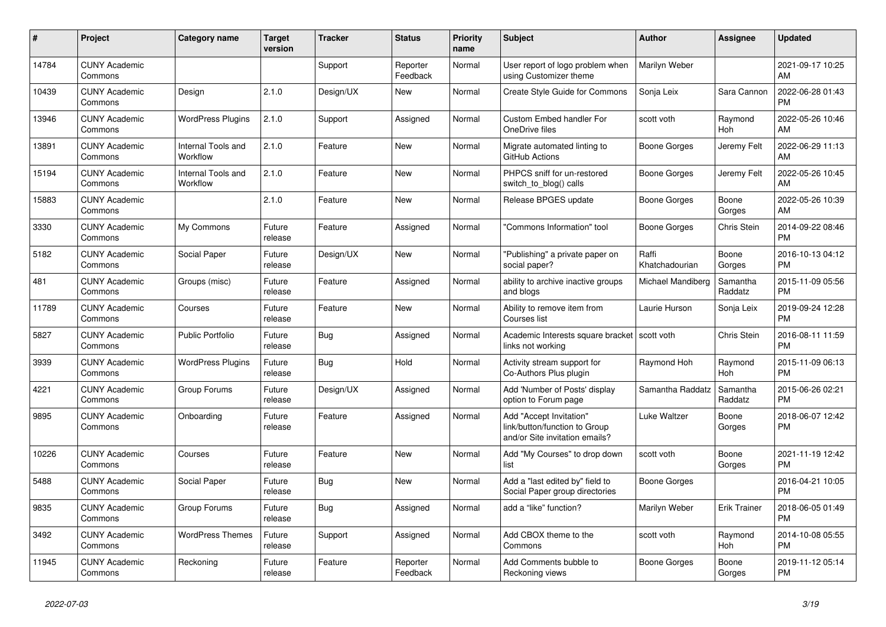| #     | Project                         | <b>Category name</b>           | <b>Target</b><br>version | <b>Tracker</b> | <b>Status</b>        | <b>Priority</b><br>name | <b>Subject</b>                                                                             | <b>Author</b>           | <b>Assignee</b>     | <b>Updated</b>                |
|-------|---------------------------------|--------------------------------|--------------------------|----------------|----------------------|-------------------------|--------------------------------------------------------------------------------------------|-------------------------|---------------------|-------------------------------|
| 14784 | <b>CUNY Academic</b><br>Commons |                                |                          | Support        | Reporter<br>Feedback | Normal                  | User report of logo problem when<br>using Customizer theme                                 | Marilyn Weber           |                     | 2021-09-17 10:25<br>AM        |
| 10439 | <b>CUNY Academic</b><br>Commons | Design                         | 2.1.0                    | Design/UX      | New                  | Normal                  | Create Style Guide for Commons                                                             | Sonja Leix              | Sara Cannon         | 2022-06-28 01:43<br><b>PM</b> |
| 13946 | <b>CUNY Academic</b><br>Commons | <b>WordPress Plugins</b>       | 2.1.0                    | Support        | Assigned             | Normal                  | <b>Custom Embed handler For</b><br>OneDrive files                                          | scott voth              | Raymond<br>Hoh      | 2022-05-26 10:46<br>AM        |
| 13891 | <b>CUNY Academic</b><br>Commons | Internal Tools and<br>Workflow | 2.1.0                    | Feature        | New                  | Normal                  | Migrate automated linting to<br>GitHub Actions                                             | Boone Gorges            | Jeremy Felt         | 2022-06-29 11:13<br>AM        |
| 15194 | <b>CUNY Academic</b><br>Commons | Internal Tools and<br>Workflow | 2.1.0                    | Feature        | New                  | Normal                  | PHPCS sniff for un-restored<br>switch_to_blog() calls                                      | Boone Gorges            | Jeremy Felt         | 2022-05-26 10:45<br>AM        |
| 15883 | <b>CUNY Academic</b><br>Commons |                                | 2.1.0                    | Feature        | <b>New</b>           | Normal                  | Release BPGES update                                                                       | Boone Gorges            | Boone<br>Gorges     | 2022-05-26 10:39<br>AM        |
| 3330  | <b>CUNY Academic</b><br>Commons | My Commons                     | Future<br>release        | Feature        | Assigned             | Normal                  | "Commons Information" tool                                                                 | Boone Gorges            | <b>Chris Stein</b>  | 2014-09-22 08:46<br><b>PM</b> |
| 5182  | <b>CUNY Academic</b><br>Commons | Social Paper                   | Future<br>release        | Design/UX      | New                  | Normal                  | "Publishing" a private paper on<br>social paper?                                           | Raffi<br>Khatchadourian | Boone<br>Gorges     | 2016-10-13 04:12<br><b>PM</b> |
| 481   | <b>CUNY Academic</b><br>Commons | Groups (misc)                  | Future<br>release        | Feature        | Assigned             | Normal                  | ability to archive inactive groups<br>and blogs                                            | Michael Mandiberg       | Samantha<br>Raddatz | 2015-11-09 05:56<br><b>PM</b> |
| 11789 | <b>CUNY Academic</b><br>Commons | Courses                        | Future<br>release        | Feature        | <b>New</b>           | Normal                  | Ability to remove item from<br>Courses list                                                | Laurie Hurson           | Sonja Leix          | 2019-09-24 12:28<br><b>PM</b> |
| 5827  | <b>CUNY Academic</b><br>Commons | <b>Public Portfolio</b>        | Future<br>release        | Bug            | Assigned             | Normal                  | Academic Interests square bracket   scott voth<br>links not working                        |                         | <b>Chris Stein</b>  | 2016-08-11 11:59<br><b>PM</b> |
| 3939  | <b>CUNY Academic</b><br>Commons | <b>WordPress Plugins</b>       | Future<br>release        | Bug            | Hold                 | Normal                  | Activity stream support for<br>Co-Authors Plus plugin                                      | Raymond Hoh             | Raymond<br>Hoh      | 2015-11-09 06:13<br><b>PM</b> |
| 4221  | <b>CUNY Academic</b><br>Commons | Group Forums                   | Future<br>release        | Design/UX      | Assigned             | Normal                  | Add 'Number of Posts' display<br>option to Forum page                                      | Samantha Raddatz        | Samantha<br>Raddatz | 2015-06-26 02:21<br><b>PM</b> |
| 9895  | <b>CUNY Academic</b><br>Commons | Onboarding                     | Future<br>release        | Feature        | Assigned             | Normal                  | Add "Accept Invitation"<br>link/button/function to Group<br>and/or Site invitation emails? | Luke Waltzer            | Boone<br>Gorges     | 2018-06-07 12:42<br><b>PM</b> |
| 10226 | <b>CUNY Academic</b><br>Commons | Courses                        | Future<br>release        | Feature        | New                  | Normal                  | Add "My Courses" to drop down<br>list                                                      | scott voth              | Boone<br>Gorges     | 2021-11-19 12:42<br><b>PM</b> |
| 5488  | <b>CUNY Academic</b><br>Commons | Social Paper                   | Future<br>release        | Bug            | <b>New</b>           | Normal                  | Add a "last edited by" field to<br>Social Paper group directories                          | Boone Gorges            |                     | 2016-04-21 10:05<br><b>PM</b> |
| 9835  | <b>CUNY Academic</b><br>Commons | Group Forums                   | Future<br>release        | Bug            | Assigned             | Normal                  | add a "like" function?                                                                     | Marilyn Weber           | <b>Erik Trainer</b> | 2018-06-05 01:49<br><b>PM</b> |
| 3492  | <b>CUNY Academic</b><br>Commons | <b>WordPress Themes</b>        | Future<br>release        | Support        | Assigned             | Normal                  | Add CBOX theme to the<br>Commons                                                           | scott voth              | Raymond<br>Hoh      | 2014-10-08 05:55<br><b>PM</b> |
| 11945 | <b>CUNY Academic</b><br>Commons | Reckoning                      | Future<br>release        | Feature        | Reporter<br>Feedback | Normal                  | Add Comments bubble to<br>Reckoning views                                                  | Boone Gorges            | Boone<br>Gorges     | 2019-11-12 05:14<br><b>PM</b> |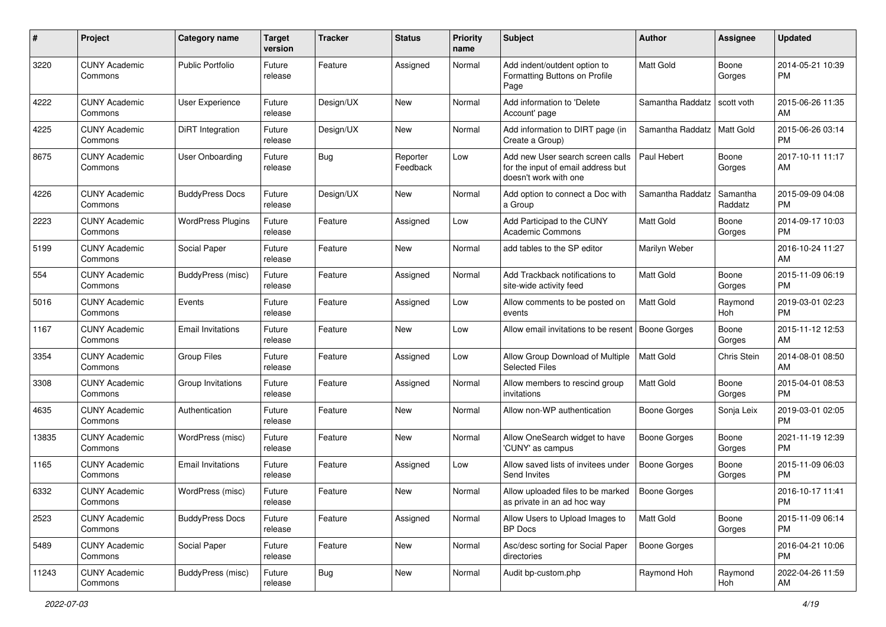| #     | Project                         | <b>Category name</b>     | <b>Target</b><br>version | <b>Tracker</b> | <b>Status</b>        | <b>Priority</b><br>name | Subject                                                                                         | Author                       | <b>Assignee</b>     | <b>Updated</b>                |
|-------|---------------------------------|--------------------------|--------------------------|----------------|----------------------|-------------------------|-------------------------------------------------------------------------------------------------|------------------------------|---------------------|-------------------------------|
| 3220  | <b>CUNY Academic</b><br>Commons | <b>Public Portfolio</b>  | Future<br>release        | Feature        | Assigned             | Normal                  | Add indent/outdent option to<br>Formatting Buttons on Profile<br>Page                           | <b>Matt Gold</b>             | Boone<br>Gorges     | 2014-05-21 10:39<br>PM        |
| 4222  | <b>CUNY Academic</b><br>Commons | User Experience          | Future<br>release        | Design/UX      | <b>New</b>           | Normal                  | Add information to 'Delete<br>Account' page                                                     | Samantha Raddatz             | scott voth          | 2015-06-26 11:35<br>AM        |
| 4225  | <b>CUNY Academic</b><br>Commons | DiRT Integration         | Future<br>release        | Design/UX      | New                  | Normal                  | Add information to DIRT page (in<br>Create a Group)                                             | Samantha Raddatz   Matt Gold |                     | 2015-06-26 03:14<br><b>PM</b> |
| 8675  | <b>CUNY Academic</b><br>Commons | <b>User Onboarding</b>   | Future<br>release        | Bug            | Reporter<br>Feedback | Low                     | Add new User search screen calls<br>for the input of email address but<br>doesn't work with one | Paul Hebert                  | Boone<br>Gorges     | 2017-10-11 11:17<br>AM        |
| 4226  | <b>CUNY Academic</b><br>Commons | <b>BuddyPress Docs</b>   | Future<br>release        | Design/UX      | New                  | Normal                  | Add option to connect a Doc with<br>a Group                                                     | Samantha Raddatz             | Samantha<br>Raddatz | 2015-09-09 04:08<br><b>PM</b> |
| 2223  | <b>CUNY Academic</b><br>Commons | <b>WordPress Plugins</b> | Future<br>release        | Feature        | Assigned             | Low                     | Add Participad to the CUNY<br><b>Academic Commons</b>                                           | <b>Matt Gold</b>             | Boone<br>Gorges     | 2014-09-17 10:03<br>PM.       |
| 5199  | <b>CUNY Academic</b><br>Commons | Social Paper             | Future<br>release        | Feature        | <b>New</b>           | Normal                  | add tables to the SP editor                                                                     | Marilyn Weber                |                     | 2016-10-24 11:27<br>AM        |
| 554   | <b>CUNY Academic</b><br>Commons | BuddyPress (misc)        | Future<br>release        | Feature        | Assigned             | Normal                  | Add Trackback notifications to<br>site-wide activity feed                                       | <b>Matt Gold</b>             | Boone<br>Gorges     | 2015-11-09 06:19<br><b>PM</b> |
| 5016  | <b>CUNY Academic</b><br>Commons | Events                   | Future<br>release        | Feature        | Assigned             | Low                     | Allow comments to be posted on<br>events                                                        | <b>Matt Gold</b>             | Raymond<br>Hoh      | 2019-03-01 02:23<br><b>PM</b> |
| 1167  | <b>CUNY Academic</b><br>Commons | <b>Email Invitations</b> | Future<br>release        | Feature        | New                  | Low                     | Allow email invitations to be resent                                                            | Boone Gorges                 | Boone<br>Gorges     | 2015-11-12 12:53<br>AM        |
| 3354  | <b>CUNY Academic</b><br>Commons | <b>Group Files</b>       | Future<br>release        | Feature        | Assigned             | Low                     | Allow Group Download of Multiple<br><b>Selected Files</b>                                       | Matt Gold                    | Chris Stein         | 2014-08-01 08:50<br>AM        |
| 3308  | <b>CUNY Academic</b><br>Commons | Group Invitations        | Future<br>release        | Feature        | Assigned             | Normal                  | Allow members to rescind group<br>invitations                                                   | Matt Gold                    | Boone<br>Gorges     | 2015-04-01 08:53<br><b>PM</b> |
| 4635  | <b>CUNY Academic</b><br>Commons | Authentication           | Future<br>release        | Feature        | <b>New</b>           | Normal                  | Allow non-WP authentication                                                                     | Boone Gorges                 | Sonja Leix          | 2019-03-01 02:05<br><b>PM</b> |
| 13835 | <b>CUNY Academic</b><br>Commons | WordPress (misc)         | Future<br>release        | Feature        | <b>New</b>           | Normal                  | Allow OneSearch widget to have<br>'CUNY' as campus                                              | <b>Boone Gorges</b>          | Boone<br>Gorges     | 2021-11-19 12:39<br><b>PM</b> |
| 1165  | <b>CUNY Academic</b><br>Commons | <b>Email Invitations</b> | Future<br>release        | Feature        | Assigned             | Low                     | Allow saved lists of invitees under<br>Send Invites                                             | <b>Boone Gorges</b>          | Boone<br>Gorges     | 2015-11-09 06:03<br>PM.       |
| 6332  | <b>CUNY Academic</b><br>Commons | WordPress (misc)         | Future<br>release        | Feature        | <b>New</b>           | Normal                  | Allow uploaded files to be marked<br>as private in an ad hoc way                                | <b>Boone Gorges</b>          |                     | 2016-10-17 11:41<br>PM        |
| 2523  | <b>CUNY Academic</b><br>Commons | <b>BuddyPress Docs</b>   | Future<br>release        | Feature        | Assigned             | Normal                  | Allow Users to Upload Images to<br><b>BP</b> Docs                                               | Matt Gold                    | Boone<br>Gorges     | 2015-11-09 06:14<br>PM        |
| 5489  | <b>CUNY Academic</b><br>Commons | Social Paper             | Future<br>release        | Feature        | New                  | Normal                  | Asc/desc sorting for Social Paper<br>directories                                                | <b>Boone Gorges</b>          |                     | 2016-04-21 10:06<br><b>PM</b> |
| 11243 | <b>CUNY Academic</b><br>Commons | BuddyPress (misc)        | Future<br>release        | <b>Bug</b>     | New                  | Normal                  | Audit bp-custom.php                                                                             | Raymond Hoh                  | Raymond<br>Hoh      | 2022-04-26 11:59<br>AM        |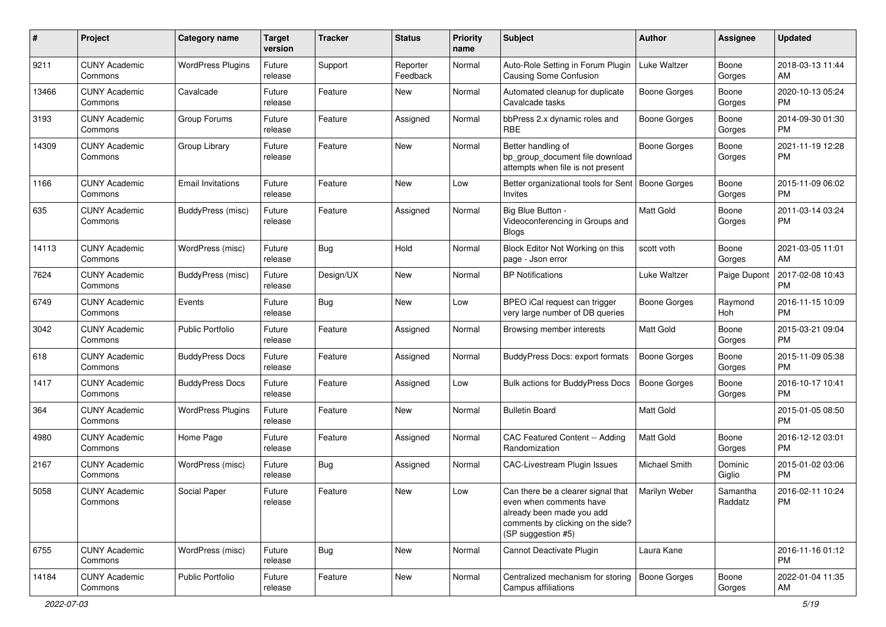| #     | Project                         | Category name            | <b>Target</b><br>version | <b>Tracker</b> | <b>Status</b>        | <b>Priority</b><br>name | Subject                                                                                                                                               | Author              | <b>Assignee</b>     | <b>Updated</b>                |
|-------|---------------------------------|--------------------------|--------------------------|----------------|----------------------|-------------------------|-------------------------------------------------------------------------------------------------------------------------------------------------------|---------------------|---------------------|-------------------------------|
| 9211  | <b>CUNY Academic</b><br>Commons | <b>WordPress Plugins</b> | Future<br>release        | Support        | Reporter<br>Feedback | Normal                  | Auto-Role Setting in Forum Plugin<br>Causing Some Confusion                                                                                           | Luke Waltzer        | Boone<br>Gorges     | 2018-03-13 11:44<br>AM        |
| 13466 | <b>CUNY Academic</b><br>Commons | Cavalcade                | Future<br>release        | Feature        | New                  | Normal                  | Automated cleanup for duplicate<br>Cavalcade tasks                                                                                                    | <b>Boone Gorges</b> | Boone<br>Gorges     | 2020-10-13 05:24<br><b>PM</b> |
| 3193  | <b>CUNY Academic</b><br>Commons | Group Forums             | Future<br>release        | Feature        | Assigned             | Normal                  | bbPress 2.x dynamic roles and<br><b>RBE</b>                                                                                                           | Boone Gorges        | Boone<br>Gorges     | 2014-09-30 01:30<br><b>PM</b> |
| 14309 | <b>CUNY Academic</b><br>Commons | Group Library            | Future<br>release        | Feature        | New                  | Normal                  | Better handling of<br>bp group document file download<br>attempts when file is not present                                                            | Boone Gorges        | Boone<br>Gorges     | 2021-11-19 12:28<br>PM        |
| 1166  | <b>CUNY Academic</b><br>Commons | <b>Email Invitations</b> | Future<br>release        | Feature        | New                  | Low                     | Better organizational tools for Sent<br>Invites                                                                                                       | Boone Gorges        | Boone<br>Gorges     | 2015-11-09 06:02<br><b>PM</b> |
| 635   | <b>CUNY Academic</b><br>Commons | BuddyPress (misc)        | Future<br>release        | Feature        | Assigned             | Normal                  | Big Blue Button -<br>Videoconferencing in Groups and<br><b>Blogs</b>                                                                                  | <b>Matt Gold</b>    | Boone<br>Gorges     | 2011-03-14 03:24<br><b>PM</b> |
| 14113 | <b>CUNY Academic</b><br>Commons | WordPress (misc)         | Future<br>release        | <b>Bug</b>     | Hold                 | Normal                  | Block Editor Not Working on this<br>page - Json error                                                                                                 | scott voth          | Boone<br>Gorges     | 2021-03-05 11:01<br>AM        |
| 7624  | <b>CUNY Academic</b><br>Commons | BuddyPress (misc)        | Future<br>release        | Design/UX      | New                  | Normal                  | <b>BP Notifications</b>                                                                                                                               | Luke Waltzer        | Paige Dupont        | 2017-02-08 10:43<br><b>PM</b> |
| 6749  | <b>CUNY Academic</b><br>Commons | Events                   | Future<br>release        | Bug            | <b>New</b>           | Low                     | BPEO iCal request can trigger<br>very large number of DB queries                                                                                      | Boone Gorges        | Raymond<br>Hoh      | 2016-11-15 10:09<br><b>PM</b> |
| 3042  | <b>CUNY Academic</b><br>Commons | <b>Public Portfolio</b>  | Future<br>release        | Feature        | Assigned             | Normal                  | Browsing member interests                                                                                                                             | <b>Matt Gold</b>    | Boone<br>Gorges     | 2015-03-21 09:04<br><b>PM</b> |
| 618   | <b>CUNY Academic</b><br>Commons | <b>BuddyPress Docs</b>   | Future<br>release        | Feature        | Assigned             | Normal                  | BuddyPress Docs: export formats                                                                                                                       | <b>Boone Gorges</b> | Boone<br>Gorges     | 2015-11-09 05:38<br><b>PM</b> |
| 1417  | <b>CUNY Academic</b><br>Commons | <b>BuddyPress Docs</b>   | Future<br>release        | Feature        | Assigned             | Low                     | <b>Bulk actions for BuddyPress Docs</b>                                                                                                               | Boone Gorges        | Boone<br>Gorges     | 2016-10-17 10:41<br><b>PM</b> |
| 364   | <b>CUNY Academic</b><br>Commons | <b>WordPress Plugins</b> | Future<br>release        | Feature        | <b>New</b>           | Normal                  | <b>Bulletin Board</b>                                                                                                                                 | <b>Matt Gold</b>    |                     | 2015-01-05 08:50<br><b>PM</b> |
| 4980  | <b>CUNY Academic</b><br>Commons | Home Page                | Future<br>release        | Feature        | Assigned             | Normal                  | CAC Featured Content -- Adding<br>Randomization                                                                                                       | <b>Matt Gold</b>    | Boone<br>Gorges     | 2016-12-12 03:01<br><b>PM</b> |
| 2167  | <b>CUNY Academic</b><br>Commons | WordPress (misc)         | Future<br>release        | Bug            | Assigned             | Normal                  | <b>CAC-Livestream Plugin Issues</b>                                                                                                                   | Michael Smith       | Dominic<br>Giglio   | 2015-01-02 03:06<br><b>PM</b> |
| 5058  | <b>CUNY Academic</b><br>Commons | Social Paper             | Future<br>release        | Feature        | New                  | Low                     | Can there be a clearer signal that<br>even when comments have<br>already been made you add<br>comments by clicking on the side?<br>(SP suggestion #5) | Marilyn Weber       | Samantha<br>Raddatz | 2016-02-11 10:24<br>PM        |
| 6755  | <b>CUNY Academic</b><br>Commons | WordPress (misc)         | Future<br>release        | <b>Bug</b>     | New                  | Normal                  | Cannot Deactivate Plugin                                                                                                                              | Laura Kane          |                     | 2016-11-16 01:12<br><b>PM</b> |
| 14184 | <b>CUNY Academic</b><br>Commons | <b>Public Portfolio</b>  | Future<br>release        | Feature        | New                  | Normal                  | Centralized mechanism for storing<br>Campus affiliations                                                                                              | Boone Gorges        | Boone<br>Gorges     | 2022-01-04 11:35<br>AM        |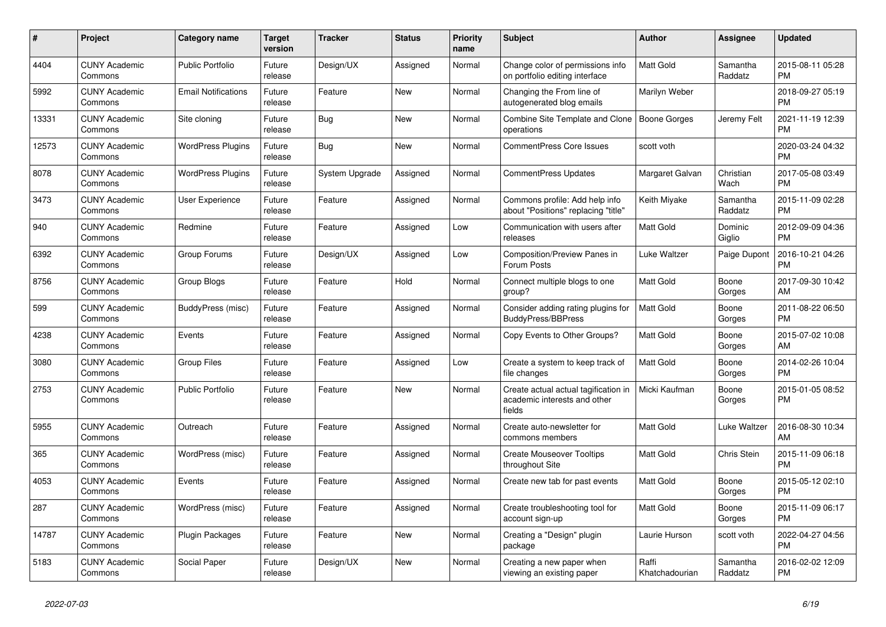| #     | Project                         | <b>Category name</b>       | <b>Target</b><br>version | <b>Tracker</b> | <b>Status</b> | <b>Priority</b><br>name | <b>Subject</b>                                                                 | <b>Author</b>           | Assignee            | <b>Updated</b>                |
|-------|---------------------------------|----------------------------|--------------------------|----------------|---------------|-------------------------|--------------------------------------------------------------------------------|-------------------------|---------------------|-------------------------------|
| 4404  | <b>CUNY Academic</b><br>Commons | <b>Public Portfolio</b>    | Future<br>release        | Design/UX      | Assigned      | Normal                  | Change color of permissions info<br>on portfolio editing interface             | <b>Matt Gold</b>        | Samantha<br>Raddatz | 2015-08-11 05:28<br><b>PM</b> |
| 5992  | <b>CUNY Academic</b><br>Commons | <b>Email Notifications</b> | Future<br>release        | Feature        | New           | Normal                  | Changing the From line of<br>autogenerated blog emails                         | Marilyn Weber           |                     | 2018-09-27 05:19<br><b>PM</b> |
| 13331 | <b>CUNY Academic</b><br>Commons | Site cloning               | Future<br>release        | Bug            | New           | Normal                  | Combine Site Template and Clone<br>operations                                  | Boone Gorges            | Jeremy Felt         | 2021-11-19 12:39<br><b>PM</b> |
| 12573 | <b>CUNY Academic</b><br>Commons | <b>WordPress Plugins</b>   | Future<br>release        | Bug            | <b>New</b>    | Normal                  | <b>CommentPress Core Issues</b>                                                | scott voth              |                     | 2020-03-24 04:32<br><b>PM</b> |
| 8078  | <b>CUNY Academic</b><br>Commons | <b>WordPress Plugins</b>   | Future<br>release        | System Upgrade | Assigned      | Normal                  | <b>CommentPress Updates</b>                                                    | Margaret Galvan         | Christian<br>Wach   | 2017-05-08 03:49<br><b>PM</b> |
| 3473  | <b>CUNY Academic</b><br>Commons | User Experience            | Future<br>release        | Feature        | Assigned      | Normal                  | Commons profile: Add help info<br>about "Positions" replacing "title"          | Keith Miyake            | Samantha<br>Raddatz | 2015-11-09 02:28<br><b>PM</b> |
| 940   | <b>CUNY Academic</b><br>Commons | Redmine                    | Future<br>release        | Feature        | Assigned      | Low                     | Communication with users after<br>releases                                     | <b>Matt Gold</b>        | Dominic<br>Giglio   | 2012-09-09 04:36<br><b>PM</b> |
| 6392  | <b>CUNY Academic</b><br>Commons | Group Forums               | Future<br>release        | Design/UX      | Assigned      | Low                     | Composition/Preview Panes in<br>Forum Posts                                    | Luke Waltzer            | Paige Dupont        | 2016-10-21 04:26<br><b>PM</b> |
| 8756  | <b>CUNY Academic</b><br>Commons | Group Blogs                | Future<br>release        | Feature        | Hold          | Normal                  | Connect multiple blogs to one<br>group?                                        | Matt Gold               | Boone<br>Gorges     | 2017-09-30 10:42<br>AM        |
| 599   | <b>CUNY Academic</b><br>Commons | BuddyPress (misc)          | Future<br>release        | Feature        | Assigned      | Normal                  | Consider adding rating plugins for<br><b>BuddyPress/BBPress</b>                | <b>Matt Gold</b>        | Boone<br>Gorges     | 2011-08-22 06:50<br><b>PM</b> |
| 4238  | <b>CUNY Academic</b><br>Commons | Events                     | Future<br>release        | Feature        | Assigned      | Normal                  | Copy Events to Other Groups?                                                   | Matt Gold               | Boone<br>Gorges     | 2015-07-02 10:08<br>AM        |
| 3080  | <b>CUNY Academic</b><br>Commons | <b>Group Files</b>         | Future<br>release        | Feature        | Assigned      | Low                     | Create a system to keep track of<br>file changes                               | Matt Gold               | Boone<br>Gorges     | 2014-02-26 10:04<br><b>PM</b> |
| 2753  | <b>CUNY Academic</b><br>Commons | <b>Public Portfolio</b>    | Future<br>release        | Feature        | New           | Normal                  | Create actual actual tagification in<br>academic interests and other<br>fields | Micki Kaufman           | Boone<br>Gorges     | 2015-01-05 08:52<br><b>PM</b> |
| 5955  | <b>CUNY Academic</b><br>Commons | Outreach                   | Future<br>release        | Feature        | Assigned      | Normal                  | Create auto-newsletter for<br>commons members                                  | Matt Gold               | Luke Waltzer        | 2016-08-30 10:34<br>AM        |
| 365   | <b>CUNY Academic</b><br>Commons | WordPress (misc)           | Future<br>release        | Feature        | Assigned      | Normal                  | <b>Create Mouseover Tooltips</b><br>throughout Site                            | Matt Gold               | Chris Stein         | 2015-11-09 06:18<br><b>PM</b> |
| 4053  | <b>CUNY Academic</b><br>Commons | Events                     | Future<br>release        | Feature        | Assigned      | Normal                  | Create new tab for past events                                                 | <b>Matt Gold</b>        | Boone<br>Gorges     | 2015-05-12 02:10<br><b>PM</b> |
| 287   | <b>CUNY Academic</b><br>Commons | WordPress (misc)           | Future<br>release        | Feature        | Assigned      | Normal                  | Create troubleshooting tool for<br>account sign-up                             | Matt Gold               | Boone<br>Gorges     | 2015-11-09 06:17<br><b>PM</b> |
| 14787 | <b>CUNY Academic</b><br>Commons | <b>Plugin Packages</b>     | Future<br>release        | Feature        | New           | Normal                  | Creating a "Design" plugin<br>package                                          | Laurie Hurson           | scott voth          | 2022-04-27 04:56<br><b>PM</b> |
| 5183  | <b>CUNY Academic</b><br>Commons | Social Paper               | Future<br>release        | Design/UX      | <b>New</b>    | Normal                  | Creating a new paper when<br>viewing an existing paper                         | Raffi<br>Khatchadourian | Samantha<br>Raddatz | 2016-02-02 12:09<br><b>PM</b> |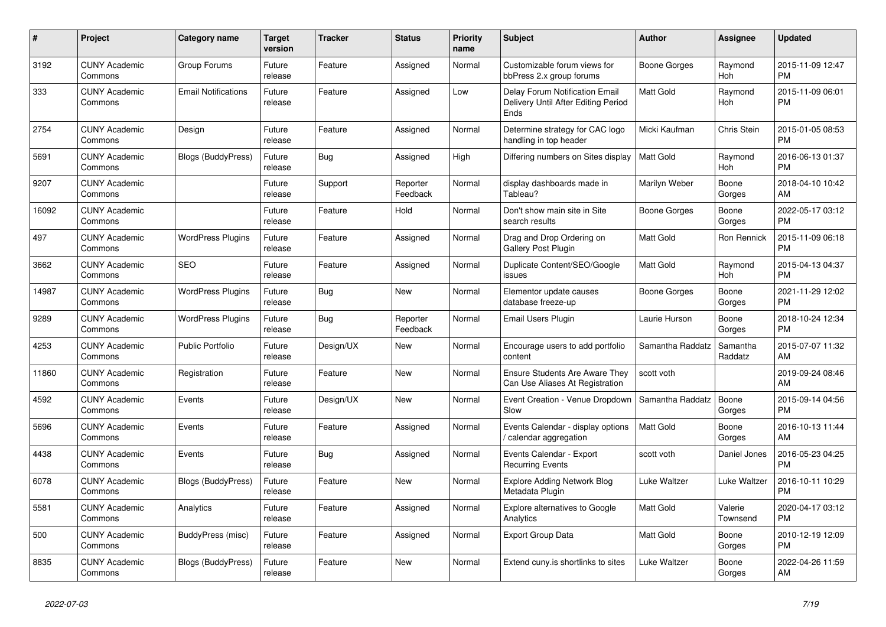| $\vert$ # | <b>Project</b>                  | Category name              | <b>Target</b><br>version | <b>Tracker</b> | <b>Status</b>        | <b>Priority</b><br>name | <b>Subject</b>                                                                | <b>Author</b>       | Assignee            | <b>Updated</b>                |
|-----------|---------------------------------|----------------------------|--------------------------|----------------|----------------------|-------------------------|-------------------------------------------------------------------------------|---------------------|---------------------|-------------------------------|
| 3192      | <b>CUNY Academic</b><br>Commons | Group Forums               | Future<br>release        | Feature        | Assigned             | Normal                  | Customizable forum views for<br>bbPress 2.x group forums                      | Boone Gorges        | Raymond<br>Hoh      | 2015-11-09 12:47<br><b>PM</b> |
| 333       | <b>CUNY Academic</b><br>Commons | <b>Email Notifications</b> | Future<br>release        | Feature        | Assigned             | Low                     | Delay Forum Notification Email<br>Delivery Until After Editing Period<br>Ends | <b>Matt Gold</b>    | Raymond<br>Hoh      | 2015-11-09 06:01<br><b>PM</b> |
| 2754      | <b>CUNY Academic</b><br>Commons | Design                     | Future<br>release        | Feature        | Assigned             | Normal                  | Determine strategy for CAC logo<br>handling in top header                     | Micki Kaufman       | Chris Stein         | 2015-01-05 08:53<br><b>PM</b> |
| 5691      | <b>CUNY Academic</b><br>Commons | Blogs (BuddyPress)         | Future<br>release        | Bug            | Assigned             | High                    | Differing numbers on Sites display                                            | Matt Gold           | Raymond<br>Hoh      | 2016-06-13 01:37<br><b>PM</b> |
| 9207      | <b>CUNY Academic</b><br>Commons |                            | Future<br>release        | Support        | Reporter<br>Feedback | Normal                  | display dashboards made in<br>Tableau?                                        | Marilyn Weber       | Boone<br>Gorges     | 2018-04-10 10:42<br>AM        |
| 16092     | <b>CUNY Academic</b><br>Commons |                            | Future<br>release        | Feature        | Hold                 | Normal                  | Don't show main site in Site<br>search results                                | Boone Gorges        | Boone<br>Gorges     | 2022-05-17 03:12<br><b>PM</b> |
| 497       | <b>CUNY Academic</b><br>Commons | <b>WordPress Plugins</b>   | Future<br>release        | Feature        | Assigned             | Normal                  | Drag and Drop Ordering on<br>Gallery Post Plugin                              | Matt Gold           | Ron Rennick         | 2015-11-09 06:18<br><b>PM</b> |
| 3662      | <b>CUNY Academic</b><br>Commons | <b>SEO</b>                 | Future<br>release        | Feature        | Assigned             | Normal                  | Duplicate Content/SEO/Google<br>issues                                        | <b>Matt Gold</b>    | Raymond<br>Hoh      | 2015-04-13 04:37<br><b>PM</b> |
| 14987     | <b>CUNY Academic</b><br>Commons | <b>WordPress Plugins</b>   | Future<br>release        | Bug            | <b>New</b>           | Normal                  | Elementor update causes<br>database freeze-up                                 | <b>Boone Gorges</b> | Boone<br>Gorges     | 2021-11-29 12:02<br><b>PM</b> |
| 9289      | <b>CUNY Academic</b><br>Commons | <b>WordPress Plugins</b>   | Future<br>release        | Bug            | Reporter<br>Feedback | Normal                  | Email Users Plugin                                                            | Laurie Hurson       | Boone<br>Gorges     | 2018-10-24 12:34<br><b>PM</b> |
| 4253      | <b>CUNY Academic</b><br>Commons | <b>Public Portfolio</b>    | Future<br>release        | Design/UX      | <b>New</b>           | Normal                  | Encourage users to add portfolio<br>content                                   | Samantha Raddatz    | Samantha<br>Raddatz | 2015-07-07 11:32<br>AM        |
| 11860     | <b>CUNY Academic</b><br>Commons | Registration               | Future<br>release        | Feature        | New                  | Normal                  | <b>Ensure Students Are Aware They</b><br>Can Use Aliases At Registration      | scott voth          |                     | 2019-09-24 08:46<br>AM        |
| 4592      | <b>CUNY Academic</b><br>Commons | Events                     | Future<br>release        | Design/UX      | New                  | Normal                  | Event Creation - Venue Dropdown<br>Slow                                       | Samantha Raddatz    | Boone<br>Gorges     | 2015-09-14 04:56<br><b>PM</b> |
| 5696      | <b>CUNY Academic</b><br>Commons | Events                     | Future<br>release        | Feature        | Assigned             | Normal                  | Events Calendar - display options<br>/ calendar aggregation                   | <b>Matt Gold</b>    | Boone<br>Gorges     | 2016-10-13 11:44<br>AM        |
| 4438      | <b>CUNY Academic</b><br>Commons | Events                     | Future<br>release        | Bug            | Assigned             | Normal                  | Events Calendar - Export<br><b>Recurring Events</b>                           | scott voth          | Daniel Jones        | 2016-05-23 04:25<br><b>PM</b> |
| 6078      | <b>CUNY Academic</b><br>Commons | Blogs (BuddyPress)         | Future<br>release        | Feature        | <b>New</b>           | Normal                  | <b>Explore Adding Network Blog</b><br>Metadata Plugin                         | Luke Waltzer        | Luke Waltzer        | 2016-10-11 10:29<br><b>PM</b> |
| 5581      | <b>CUNY Academic</b><br>Commons | Analytics                  | Future<br>release        | Feature        | Assigned             | Normal                  | Explore alternatives to Google<br>Analytics                                   | <b>Matt Gold</b>    | Valerie<br>Townsend | 2020-04-17 03:12<br><b>PM</b> |
| 500       | <b>CUNY Academic</b><br>Commons | BuddyPress (misc)          | Future<br>release        | Feature        | Assigned             | Normal                  | <b>Export Group Data</b>                                                      | <b>Matt Gold</b>    | Boone<br>Gorges     | 2010-12-19 12:09<br><b>PM</b> |
| 8835      | <b>CUNY Academic</b><br>Commons | <b>Blogs (BuddyPress)</b>  | Future<br>release        | Feature        | <b>New</b>           | Normal                  | Extend cuny is shortlinks to sites                                            | Luke Waltzer        | Boone<br>Gorges     | 2022-04-26 11:59<br>AM        |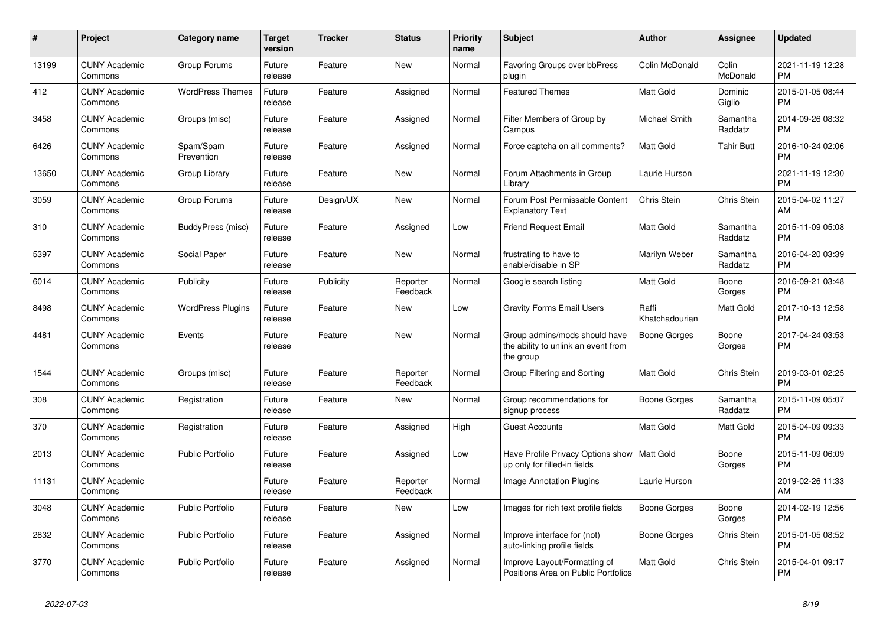| $\#$  | Project                         | <b>Category name</b>     | <b>Target</b><br>version | <b>Tracker</b> | <b>Status</b>        | <b>Priority</b><br>name | <b>Subject</b>                                                                    | <b>Author</b>           | <b>Assignee</b>     | <b>Updated</b>                |
|-------|---------------------------------|--------------------------|--------------------------|----------------|----------------------|-------------------------|-----------------------------------------------------------------------------------|-------------------------|---------------------|-------------------------------|
| 13199 | <b>CUNY Academic</b><br>Commons | Group Forums             | Future<br>release        | Feature        | New                  | Normal                  | Favoring Groups over bbPress<br>plugin                                            | Colin McDonald          | Colin<br>McDonald   | 2021-11-19 12:28<br><b>PM</b> |
| 412   | <b>CUNY Academic</b><br>Commons | <b>WordPress Themes</b>  | Future<br>release        | Feature        | Assigned             | Normal                  | <b>Featured Themes</b>                                                            | Matt Gold               | Dominic<br>Giglio   | 2015-01-05 08:44<br><b>PM</b> |
| 3458  | <b>CUNY Academic</b><br>Commons | Groups (misc)            | Future<br>release        | Feature        | Assigned             | Normal                  | Filter Members of Group by<br>Campus                                              | <b>Michael Smith</b>    | Samantha<br>Raddatz | 2014-09-26 08:32<br><b>PM</b> |
| 6426  | <b>CUNY Academic</b><br>Commons | Spam/Spam<br>Prevention  | Future<br>release        | Feature        | Assigned             | Normal                  | Force captcha on all comments?                                                    | <b>Matt Gold</b>        | <b>Tahir Butt</b>   | 2016-10-24 02:06<br><b>PM</b> |
| 13650 | <b>CUNY Academic</b><br>Commons | Group Library            | Future<br>release        | Feature        | New                  | Normal                  | Forum Attachments in Group<br>Library                                             | Laurie Hurson           |                     | 2021-11-19 12:30<br><b>PM</b> |
| 3059  | <b>CUNY Academic</b><br>Commons | Group Forums             | Future<br>release        | Design/UX      | New                  | Normal                  | Forum Post Permissable Content<br><b>Explanatory Text</b>                         | Chris Stein             | <b>Chris Stein</b>  | 2015-04-02 11:27<br>AM        |
| 310   | <b>CUNY Academic</b><br>Commons | BuddyPress (misc)        | Future<br>release        | Feature        | Assigned             | Low                     | <b>Friend Request Email</b>                                                       | <b>Matt Gold</b>        | Samantha<br>Raddatz | 2015-11-09 05:08<br><b>PM</b> |
| 5397  | <b>CUNY Academic</b><br>Commons | Social Paper             | Future<br>release        | Feature        | <b>New</b>           | Normal                  | frustrating to have to<br>enable/disable in SP                                    | Marilyn Weber           | Samantha<br>Raddatz | 2016-04-20 03:39<br><b>PM</b> |
| 6014  | <b>CUNY Academic</b><br>Commons | Publicity                | Future<br>release        | Publicity      | Reporter<br>Feedback | Normal                  | Google search listing                                                             | Matt Gold               | Boone<br>Gorges     | 2016-09-21 03:48<br><b>PM</b> |
| 8498  | <b>CUNY Academic</b><br>Commons | <b>WordPress Plugins</b> | Future<br>release        | Feature        | <b>New</b>           | Low                     | <b>Gravity Forms Email Users</b>                                                  | Raffi<br>Khatchadourian | Matt Gold           | 2017-10-13 12:58<br><b>PM</b> |
| 4481  | <b>CUNY Academic</b><br>Commons | Events                   | Future<br>release        | Feature        | <b>New</b>           | Normal                  | Group admins/mods should have<br>the ability to unlink an event from<br>the group | Boone Gorges            | Boone<br>Gorges     | 2017-04-24 03:53<br><b>PM</b> |
| 1544  | <b>CUNY Academic</b><br>Commons | Groups (misc)            | Future<br>release        | Feature        | Reporter<br>Feedback | Normal                  | Group Filtering and Sorting                                                       | Matt Gold               | Chris Stein         | 2019-03-01 02:25<br><b>PM</b> |
| 308   | <b>CUNY Academic</b><br>Commons | Registration             | Future<br>release        | Feature        | New                  | Normal                  | Group recommendations for<br>signup process                                       | Boone Gorges            | Samantha<br>Raddatz | 2015-11-09 05:07<br><b>PM</b> |
| 370   | <b>CUNY Academic</b><br>Commons | Registration             | Future<br>release        | Feature        | Assigned             | High                    | <b>Guest Accounts</b>                                                             | Matt Gold               | Matt Gold           | 2015-04-09 09:33<br><b>PM</b> |
| 2013  | <b>CUNY Academic</b><br>Commons | <b>Public Portfolio</b>  | Future<br>release        | Feature        | Assigned             | Low                     | Have Profile Privacy Options show   Matt Gold<br>up only for filled-in fields     |                         | Boone<br>Gorges     | 2015-11-09 06:09<br><b>PM</b> |
| 11131 | <b>CUNY Academic</b><br>Commons |                          | Future<br>release        | Feature        | Reporter<br>Feedback | Normal                  | <b>Image Annotation Plugins</b>                                                   | Laurie Hurson           |                     | 2019-02-26 11:33<br>AM        |
| 3048  | <b>CUNY Academic</b><br>Commons | <b>Public Portfolio</b>  | Future<br>release        | Feature        | New                  | Low                     | Images for rich text profile fields                                               | Boone Gorges            | Boone<br>Gorges     | 2014-02-19 12:56<br><b>PM</b> |
| 2832  | <b>CUNY Academic</b><br>Commons | <b>Public Portfolio</b>  | Future<br>release        | Feature        | Assigned             | Normal                  | Improve interface for (not)<br>auto-linking profile fields                        | Boone Gorges            | Chris Stein         | 2015-01-05 08:52<br><b>PM</b> |
| 3770  | <b>CUNY Academic</b><br>Commons | <b>Public Portfolio</b>  | Future<br>release        | Feature        | Assigned             | Normal                  | Improve Layout/Formatting of<br>Positions Area on Public Portfolios               | Matt Gold               | Chris Stein         | 2015-04-01 09:17<br><b>PM</b> |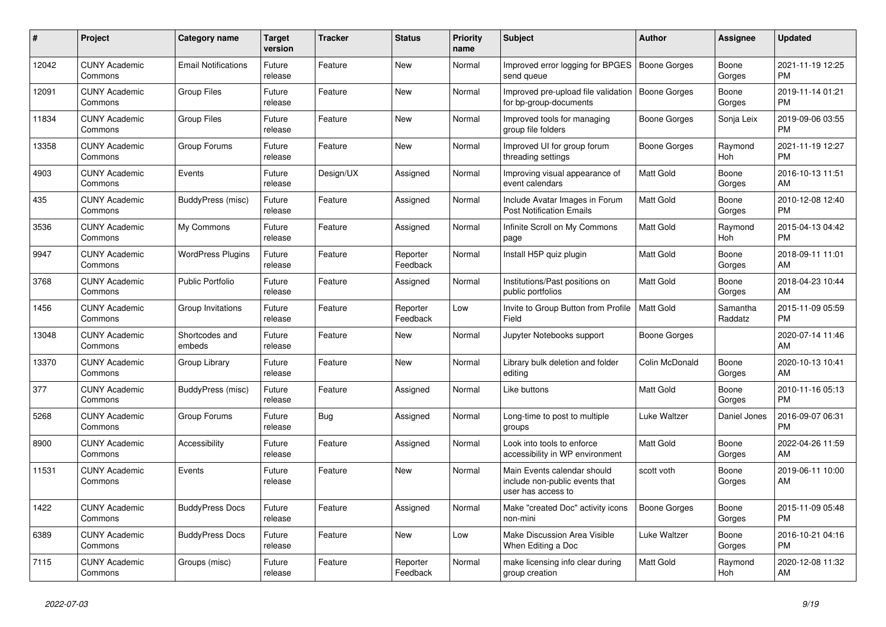| #     | Project                         | <b>Category name</b>       | <b>Target</b><br>version | <b>Tracker</b> | <b>Status</b>        | <b>Priority</b><br>name | <b>Subject</b>                                                                      | <b>Author</b>    | Assignee            | <b>Updated</b>                |
|-------|---------------------------------|----------------------------|--------------------------|----------------|----------------------|-------------------------|-------------------------------------------------------------------------------------|------------------|---------------------|-------------------------------|
| 12042 | <b>CUNY Academic</b><br>Commons | <b>Email Notifications</b> | Future<br>release        | Feature        | <b>New</b>           | Normal                  | Improved error logging for BPGES<br>send queue                                      | Boone Gorges     | Boone<br>Gorges     | 2021-11-19 12:25<br><b>PM</b> |
| 12091 | <b>CUNY Academic</b><br>Commons | <b>Group Files</b>         | Future<br>release        | Feature        | <b>New</b>           | Normal                  | Improved pre-upload file validation<br>for bp-group-documents                       | Boone Gorges     | Boone<br>Gorges     | 2019-11-14 01:21<br><b>PM</b> |
| 11834 | <b>CUNY Academic</b><br>Commons | <b>Group Files</b>         | Future<br>release        | Feature        | New                  | Normal                  | Improved tools for managing<br>group file folders                                   | Boone Gorges     | Sonja Leix          | 2019-09-06 03:55<br><b>PM</b> |
| 13358 | <b>CUNY Academic</b><br>Commons | Group Forums               | Future<br>release        | Feature        | <b>New</b>           | Normal                  | Improved UI for group forum<br>threading settings                                   | Boone Gorges     | Raymond<br>Hoh      | 2021-11-19 12:27<br><b>PM</b> |
| 4903  | <b>CUNY Academic</b><br>Commons | Events                     | Future<br>release        | Design/UX      | Assigned             | Normal                  | Improving visual appearance of<br>event calendars                                   | Matt Gold        | Boone<br>Gorges     | 2016-10-13 11:51<br>AM        |
| 435   | <b>CUNY Academic</b><br>Commons | BuddyPress (misc)          | Future<br>release        | Feature        | Assigned             | Normal                  | Include Avatar Images in Forum<br><b>Post Notification Emails</b>                   | Matt Gold        | Boone<br>Gorges     | 2010-12-08 12:40<br><b>PM</b> |
| 3536  | <b>CUNY Academic</b><br>Commons | My Commons                 | Future<br>release        | Feature        | Assigned             | Normal                  | Infinite Scroll on My Commons<br>page                                               | <b>Matt Gold</b> | Raymond<br>Hoh      | 2015-04-13 04:42<br><b>PM</b> |
| 9947  | <b>CUNY Academic</b><br>Commons | <b>WordPress Plugins</b>   | Future<br>release        | Feature        | Reporter<br>Feedback | Normal                  | Install H5P quiz plugin                                                             | <b>Matt Gold</b> | Boone<br>Gorges     | 2018-09-11 11:01<br>AM        |
| 3768  | <b>CUNY Academic</b><br>Commons | <b>Public Portfolio</b>    | Future<br>release        | Feature        | Assigned             | Normal                  | Institutions/Past positions on<br>public portfolios                                 | Matt Gold        | Boone<br>Gorges     | 2018-04-23 10:44<br>AM        |
| 1456  | <b>CUNY Academic</b><br>Commons | Group Invitations          | Future<br>release        | Feature        | Reporter<br>Feedback | Low                     | Invite to Group Button from Profile<br>Field                                        | <b>Matt Gold</b> | Samantha<br>Raddatz | 2015-11-09 05:59<br><b>PM</b> |
| 13048 | <b>CUNY Academic</b><br>Commons | Shortcodes and<br>embeds   | Future<br>release        | Feature        | <b>New</b>           | Normal                  | Jupyter Notebooks support                                                           | Boone Gorges     |                     | 2020-07-14 11:46<br>AM        |
| 13370 | <b>CUNY Academic</b><br>Commons | Group Library              | Future<br>release        | Feature        | New                  | Normal                  | Library bulk deletion and folder<br>editing                                         | Colin McDonald   | Boone<br>Gorges     | 2020-10-13 10:41<br>AM        |
| 377   | <b>CUNY Academic</b><br>Commons | BuddyPress (misc)          | Future<br>release        | Feature        | Assigned             | Normal                  | Like buttons                                                                        | <b>Matt Gold</b> | Boone<br>Gorges     | 2010-11-16 05:13<br><b>PM</b> |
| 5268  | <b>CUNY Academic</b><br>Commons | Group Forums               | Future<br>release        | <b>Bug</b>     | Assigned             | Normal                  | Long-time to post to multiple<br>groups                                             | Luke Waltzer     | Daniel Jones        | 2016-09-07 06:31<br><b>PM</b> |
| 8900  | <b>CUNY Academic</b><br>Commons | Accessibility              | Future<br>release        | Feature        | Assigned             | Normal                  | Look into tools to enforce<br>accessibility in WP environment                       | Matt Gold        | Boone<br>Gorges     | 2022-04-26 11:59<br>AM        |
| 11531 | <b>CUNY Academic</b><br>Commons | Events                     | Future<br>release        | Feature        | New                  | Normal                  | Main Events calendar should<br>include non-public events that<br>user has access to | scott voth       | Boone<br>Gorges     | 2019-06-11 10:00<br>AM        |
| 1422  | <b>CUNY Academic</b><br>Commons | <b>BuddyPress Docs</b>     | Future<br>release        | Feature        | Assigned             | Normal                  | Make "created Doc" activity icons<br>non-mini                                       | Boone Gorges     | Boone<br>Gorges     | 2015-11-09 05:48<br><b>PM</b> |
| 6389  | <b>CUNY Academic</b><br>Commons | <b>BuddyPress Docs</b>     | Future<br>release        | Feature        | New                  | Low                     | Make Discussion Area Visible<br>When Editing a Doc                                  | Luke Waltzer     | Boone<br>Gorges     | 2016-10-21 04:16<br><b>PM</b> |
| 7115  | <b>CUNY Academic</b><br>Commons | Groups (misc)              | Future<br>release        | Feature        | Reporter<br>Feedback | Normal                  | make licensing info clear during<br>group creation                                  | <b>Matt Gold</b> | Raymond<br>Hoh      | 2020-12-08 11:32<br>AM        |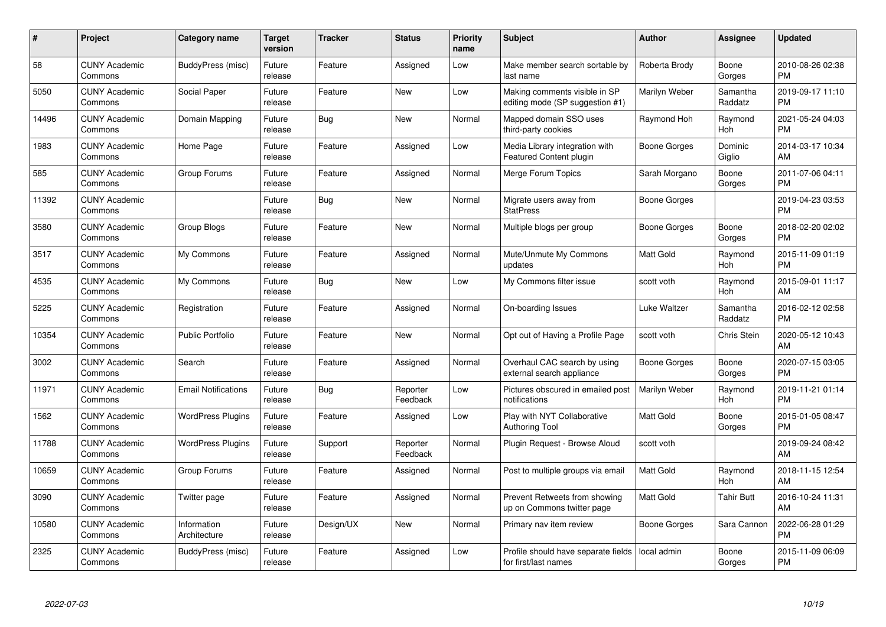| #     | Project                         | <b>Category name</b>        | <b>Target</b><br>version | <b>Tracker</b> | <b>Status</b>        | Priority<br>name | <b>Subject</b>                                                   | <b>Author</b>    | <b>Assignee</b>     | <b>Updated</b>                |
|-------|---------------------------------|-----------------------------|--------------------------|----------------|----------------------|------------------|------------------------------------------------------------------|------------------|---------------------|-------------------------------|
| 58    | <b>CUNY Academic</b><br>Commons | BuddyPress (misc)           | Future<br>release        | Feature        | Assigned             | Low              | Make member search sortable by<br>last name                      | Roberta Brody    | Boone<br>Gorges     | 2010-08-26 02:38<br><b>PM</b> |
| 5050  | <b>CUNY Academic</b><br>Commons | Social Paper                | Future<br>release        | Feature        | <b>New</b>           | Low              | Making comments visible in SP<br>editing mode (SP suggestion #1) | Marilyn Weber    | Samantha<br>Raddatz | 2019-09-17 11:10<br><b>PM</b> |
| 14496 | <b>CUNY Academic</b><br>Commons | Domain Mapping              | Future<br>release        | Bug            | <b>New</b>           | Normal           | Mapped domain SSO uses<br>third-party cookies                    | Raymond Hoh      | Raymond<br>Hoh      | 2021-05-24 04:03<br><b>PM</b> |
| 1983  | <b>CUNY Academic</b><br>Commons | Home Page                   | Future<br>release        | Feature        | Assigned             | Low              | Media Library integration with<br>Featured Content plugin        | Boone Gorges     | Dominic<br>Giglio   | 2014-03-17 10:34<br>AM        |
| 585   | <b>CUNY Academic</b><br>Commons | Group Forums                | Future<br>release        | Feature        | Assigned             | Normal           | Merge Forum Topics                                               | Sarah Morgano    | Boone<br>Gorges     | 2011-07-06 04:11<br><b>PM</b> |
| 11392 | <b>CUNY Academic</b><br>Commons |                             | Future<br>release        | <b>Bug</b>     | New                  | Normal           | Migrate users away from<br><b>StatPress</b>                      | Boone Gorges     |                     | 2019-04-23 03:53<br><b>PM</b> |
| 3580  | <b>CUNY Academic</b><br>Commons | Group Blogs                 | Future<br>release        | Feature        | <b>New</b>           | Normal           | Multiple blogs per group                                         | Boone Gorges     | Boone<br>Gorges     | 2018-02-20 02:02<br><b>PM</b> |
| 3517  | <b>CUNY Academic</b><br>Commons | My Commons                  | Future<br>release        | Feature        | Assigned             | Normal           | Mute/Unmute My Commons<br>updates                                | <b>Matt Gold</b> | Raymond<br>Hoh      | 2015-11-09 01:19<br><b>PM</b> |
| 4535  | <b>CUNY Academic</b><br>Commons | My Commons                  | Future<br>release        | <b>Bug</b>     | New                  | Low              | My Commons filter issue                                          | scott voth       | Raymond<br>Hoh      | 2015-09-01 11:17<br>AM        |
| 5225  | <b>CUNY Academic</b><br>Commons | Registration                | Future<br>release        | Feature        | Assigned             | Normal           | On-boarding Issues                                               | Luke Waltzer     | Samantha<br>Raddatz | 2016-02-12 02:58<br><b>PM</b> |
| 10354 | <b>CUNY Academic</b><br>Commons | <b>Public Portfolio</b>     | Future<br>release        | Feature        | <b>New</b>           | Normal           | Opt out of Having a Profile Page                                 | scott voth       | Chris Stein         | 2020-05-12 10:43<br>AM        |
| 3002  | <b>CUNY Academic</b><br>Commons | Search                      | Future<br>release        | Feature        | Assigned             | Normal           | Overhaul CAC search by using<br>external search appliance        | Boone Gorges     | Boone<br>Gorges     | 2020-07-15 03:05<br><b>PM</b> |
| 11971 | <b>CUNY Academic</b><br>Commons | <b>Email Notifications</b>  | Future<br>release        | Bug            | Reporter<br>Feedback | Low              | Pictures obscured in emailed post<br>notifications               | Marilyn Weber    | Raymond<br>Hoh      | 2019-11-21 01:14<br><b>PM</b> |
| 1562  | <b>CUNY Academic</b><br>Commons | <b>WordPress Plugins</b>    | Future<br>release        | Feature        | Assigned             | Low              | Play with NYT Collaborative<br>Authoring Tool                    | <b>Matt Gold</b> | Boone<br>Gorges     | 2015-01-05 08:47<br><b>PM</b> |
| 11788 | <b>CUNY Academic</b><br>Commons | <b>WordPress Plugins</b>    | Future<br>release        | Support        | Reporter<br>Feedback | Normal           | Plugin Request - Browse Aloud                                    | scott voth       |                     | 2019-09-24 08:42<br>AM        |
| 10659 | <b>CUNY Academic</b><br>Commons | Group Forums                | Future<br>release        | Feature        | Assigned             | Normal           | Post to multiple groups via email                                | Matt Gold        | Raymond<br>Hoh      | 2018-11-15 12:54<br>AM        |
| 3090  | <b>CUNY Academic</b><br>Commons | Twitter page                | Future<br>release        | Feature        | Assigned             | Normal           | Prevent Retweets from showing<br>up on Commons twitter page      | <b>Matt Gold</b> | <b>Tahir Butt</b>   | 2016-10-24 11:31<br>AM        |
| 10580 | <b>CUNY Academic</b><br>Commons | Information<br>Architecture | Future<br>release        | Design/UX      | New                  | Normal           | Primary nav item review                                          | Boone Gorges     | Sara Cannon         | 2022-06-28 01:29<br><b>PM</b> |
| 2325  | CUNY Academic<br>Commons        | BuddyPress (misc)           | Future<br>release        | Feature        | Assigned             | Low              | Profile should have separate fields<br>for first/last names      | local admin      | Boone<br>Gorges     | 2015-11-09 06:09<br><b>PM</b> |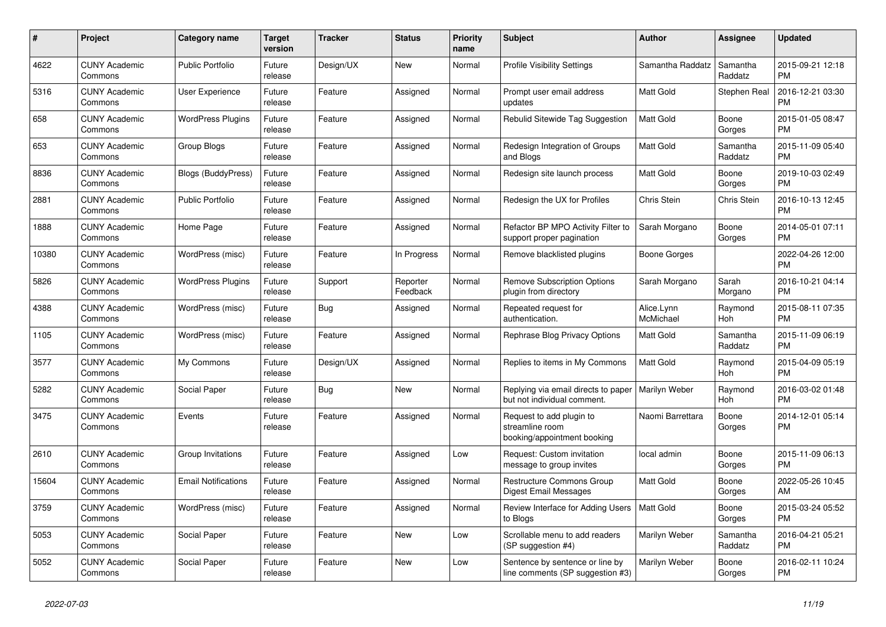| #     | <b>Project</b>                  | <b>Category name</b>       | <b>Target</b><br>version | <b>Tracker</b> | <b>Status</b>        | <b>Priority</b><br>name | <b>Subject</b>                                                             | <b>Author</b>           | Assignee            | <b>Updated</b>                |
|-------|---------------------------------|----------------------------|--------------------------|----------------|----------------------|-------------------------|----------------------------------------------------------------------------|-------------------------|---------------------|-------------------------------|
| 4622  | <b>CUNY Academic</b><br>Commons | <b>Public Portfolio</b>    | Future<br>release        | Design/UX      | <b>New</b>           | Normal                  | <b>Profile Visibility Settings</b>                                         | Samantha Raddatz        | Samantha<br>Raddatz | 2015-09-21 12:18<br><b>PM</b> |
| 5316  | <b>CUNY Academic</b><br>Commons | User Experience            | Future<br>release        | Feature        | Assigned             | Normal                  | Prompt user email address<br>updates                                       | Matt Gold               | Stephen Real        | 2016-12-21 03:30<br><b>PM</b> |
| 658   | <b>CUNY Academic</b><br>Commons | <b>WordPress Plugins</b>   | Future<br>release        | Feature        | Assigned             | Normal                  | Rebulid Sitewide Tag Suggestion                                            | Matt Gold               | Boone<br>Gorges     | 2015-01-05 08:47<br><b>PM</b> |
| 653   | <b>CUNY Academic</b><br>Commons | Group Blogs                | Future<br>release        | Feature        | Assigned             | Normal                  | Redesign Integration of Groups<br>and Blogs                                | <b>Matt Gold</b>        | Samantha<br>Raddatz | 2015-11-09 05:40<br><b>PM</b> |
| 8836  | <b>CUNY Academic</b><br>Commons | <b>Blogs (BuddyPress)</b>  | Future<br>release        | Feature        | Assigned             | Normal                  | Redesign site launch process                                               | Matt Gold               | Boone<br>Gorges     | 2019-10-03 02:49<br><b>PM</b> |
| 2881  | <b>CUNY Academic</b><br>Commons | Public Portfolio           | Future<br>release        | Feature        | Assigned             | Normal                  | Redesign the UX for Profiles                                               | Chris Stein             | Chris Stein         | 2016-10-13 12:45<br><b>PM</b> |
| 1888  | <b>CUNY Academic</b><br>Commons | Home Page                  | Future<br>release        | Feature        | Assigned             | Normal                  | Refactor BP MPO Activity Filter to<br>support proper pagination            | Sarah Morgano           | Boone<br>Gorges     | 2014-05-01 07:11<br><b>PM</b> |
| 10380 | <b>CUNY Academic</b><br>Commons | WordPress (misc)           | Future<br>release        | Feature        | In Progress          | Normal                  | Remove blacklisted plugins                                                 | Boone Gorges            |                     | 2022-04-26 12:00<br><b>PM</b> |
| 5826  | <b>CUNY Academic</b><br>Commons | <b>WordPress Plugins</b>   | Future<br>release        | Support        | Reporter<br>Feedback | Normal                  | <b>Remove Subscription Options</b><br>plugin from directory                | Sarah Morgano           | Sarah<br>Morgano    | 2016-10-21 04:14<br><b>PM</b> |
| 4388  | <b>CUNY Academic</b><br>Commons | WordPress (misc)           | Future<br>release        | Bug            | Assigned             | Normal                  | Repeated request for<br>authentication.                                    | Alice.Lynn<br>McMichael | Raymond<br>Hoh      | 2015-08-11 07:35<br><b>PM</b> |
| 1105  | <b>CUNY Academic</b><br>Commons | WordPress (misc)           | Future<br>release        | Feature        | Assigned             | Normal                  | Rephrase Blog Privacy Options                                              | Matt Gold               | Samantha<br>Raddatz | 2015-11-09 06:19<br><b>PM</b> |
| 3577  | <b>CUNY Academic</b><br>Commons | My Commons                 | Future<br>release        | Design/UX      | Assigned             | Normal                  | Replies to items in My Commons                                             | Matt Gold               | Raymond<br>Hoh      | 2015-04-09 05:19<br><b>PM</b> |
| 5282  | <b>CUNY Academic</b><br>Commons | Social Paper               | Future<br>release        | Bug            | New                  | Normal                  | Replying via email directs to paper<br>but not individual comment.         | Marilyn Weber           | Raymond<br>Hoh      | 2016-03-02 01:48<br><b>PM</b> |
| 3475  | <b>CUNY Academic</b><br>Commons | Events                     | Future<br>release        | Feature        | Assigned             | Normal                  | Request to add plugin to<br>streamline room<br>booking/appointment booking | Naomi Barrettara        | Boone<br>Gorges     | 2014-12-01 05:14<br><b>PM</b> |
| 2610  | <b>CUNY Academic</b><br>Commons | Group Invitations          | Future<br>release        | Feature        | Assigned             | Low                     | Request: Custom invitation<br>message to group invites                     | local admin             | Boone<br>Gorges     | 2015-11-09 06:13<br><b>PM</b> |
| 15604 | <b>CUNY Academic</b><br>Commons | <b>Email Notifications</b> | Future<br>release        | Feature        | Assigned             | Normal                  | Restructure Commons Group<br>Digest Email Messages                         | Matt Gold               | Boone<br>Gorges     | 2022-05-26 10:45<br>AM        |
| 3759  | <b>CUNY Academic</b><br>Commons | WordPress (misc)           | Future<br>release        | Feature        | Assigned             | Normal                  | Review Interface for Adding Users<br>to Blogs                              | <b>Matt Gold</b>        | Boone<br>Gorges     | 2015-03-24 05:52<br><b>PM</b> |
| 5053  | <b>CUNY Academic</b><br>Commons | Social Paper               | Future<br>release        | Feature        | New                  | Low                     | Scrollable menu to add readers<br>(SP suggestion #4)                       | Marilyn Weber           | Samantha<br>Raddatz | 2016-04-21 05:21<br><b>PM</b> |
| 5052  | <b>CUNY Academic</b><br>Commons | Social Paper               | Future<br>release        | Feature        | <b>New</b>           | Low                     | Sentence by sentence or line by<br>line comments (SP suggestion #3)        | Marilyn Weber           | Boone<br>Gorges     | 2016-02-11 10:24<br><b>PM</b> |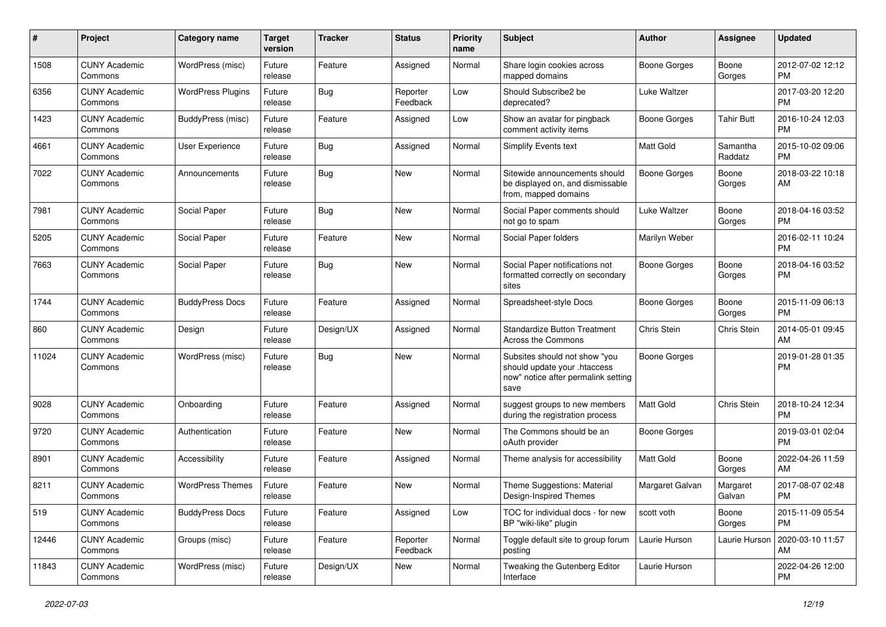| #     | Project                         | <b>Category name</b>     | <b>Target</b><br>version | <b>Tracker</b> | <b>Status</b>        | <b>Priority</b><br>name | Subject                                                                                                      | Author              | <b>Assignee</b>     | <b>Updated</b>                |
|-------|---------------------------------|--------------------------|--------------------------|----------------|----------------------|-------------------------|--------------------------------------------------------------------------------------------------------------|---------------------|---------------------|-------------------------------|
| 1508  | <b>CUNY Academic</b><br>Commons | WordPress (misc)         | Future<br>release        | Feature        | Assigned             | Normal                  | Share login cookies across<br>mapped domains                                                                 | Boone Gorges        | Boone<br>Gorges     | 2012-07-02 12:12<br><b>PM</b> |
| 6356  | <b>CUNY Academic</b><br>Commons | <b>WordPress Plugins</b> | Future<br>release        | Bug            | Reporter<br>Feedback | Low                     | Should Subscribe2 be<br>deprecated?                                                                          | Luke Waltzer        |                     | 2017-03-20 12:20<br><b>PM</b> |
| 1423  | <b>CUNY Academic</b><br>Commons | BuddyPress (misc)        | Future<br>release        | Feature        | Assigned             | Low                     | Show an avatar for pingback<br>comment activity items                                                        | <b>Boone Gorges</b> | <b>Tahir Butt</b>   | 2016-10-24 12:03<br><b>PM</b> |
| 4661  | <b>CUNY Academic</b><br>Commons | User Experience          | Future<br>release        | Bug            | Assigned             | Normal                  | Simplify Events text                                                                                         | <b>Matt Gold</b>    | Samantha<br>Raddatz | 2015-10-02 09:06<br><b>PM</b> |
| 7022  | <b>CUNY Academic</b><br>Commons | Announcements            | Future<br>release        | Bug            | New                  | Normal                  | Sitewide announcements should<br>be displayed on, and dismissable<br>from, mapped domains                    | Boone Gorges        | Boone<br>Gorges     | 2018-03-22 10:18<br>AM        |
| 7981  | <b>CUNY Academic</b><br>Commons | Social Paper             | Future<br>release        | <b>Bug</b>     | <b>New</b>           | Normal                  | Social Paper comments should<br>not go to spam                                                               | Luke Waltzer        | Boone<br>Gorges     | 2018-04-16 03:52<br><b>PM</b> |
| 5205  | <b>CUNY Academic</b><br>Commons | Social Paper             | Future<br>release        | Feature        | New                  | Normal                  | Social Paper folders                                                                                         | Marilyn Weber       |                     | 2016-02-11 10:24<br><b>PM</b> |
| 7663  | <b>CUNY Academic</b><br>Commons | Social Paper             | Future<br>release        | Bug            | New                  | Normal                  | Social Paper notifications not<br>formatted correctly on secondary<br>sites                                  | <b>Boone Gorges</b> | Boone<br>Gorges     | 2018-04-16 03:52<br><b>PM</b> |
| 1744  | <b>CUNY Academic</b><br>Commons | <b>BuddyPress Docs</b>   | Future<br>release        | Feature        | Assigned             | Normal                  | Spreadsheet-style Docs                                                                                       | <b>Boone Gorges</b> | Boone<br>Gorges     | 2015-11-09 06:13<br><b>PM</b> |
| 860   | <b>CUNY Academic</b><br>Commons | Design                   | Future<br>release        | Design/UX      | Assigned             | Normal                  | <b>Standardize Button Treatment</b><br>Across the Commons                                                    | Chris Stein         | Chris Stein         | 2014-05-01 09:45<br>AM        |
| 11024 | <b>CUNY Academic</b><br>Commons | WordPress (misc)         | Future<br>release        | Bug            | New                  | Normal                  | Subsites should not show "you<br>should update your .htaccess<br>now" notice after permalink setting<br>save | Boone Gorges        |                     | 2019-01-28 01:35<br><b>PM</b> |
| 9028  | <b>CUNY Academic</b><br>Commons | Onboarding               | Future<br>release        | Feature        | Assigned             | Normal                  | suggest groups to new members<br>during the registration process                                             | <b>Matt Gold</b>    | Chris Stein         | 2018-10-24 12:34<br><b>PM</b> |
| 9720  | <b>CUNY Academic</b><br>Commons | Authentication           | Future<br>release        | Feature        | <b>New</b>           | Normal                  | The Commons should be an<br>oAuth provider                                                                   | <b>Boone Gorges</b> |                     | 2019-03-01 02:04<br><b>PM</b> |
| 8901  | <b>CUNY Academic</b><br>Commons | Accessibility            | Future<br>release        | Feature        | Assigned             | Normal                  | Theme analysis for accessibility                                                                             | Matt Gold           | Boone<br>Gorges     | 2022-04-26 11:59<br>AM        |
| 8211  | <b>CUNY Academic</b><br>Commons | <b>WordPress Themes</b>  | Future<br>release        | Feature        | New                  | Normal                  | Theme Suggestions: Material<br>Design-Inspired Themes                                                        | Margaret Galvan     | Margaret<br>Galvan  | 2017-08-07 02:48<br><b>PM</b> |
| 519   | <b>CUNY Academic</b><br>Commons | <b>BuddyPress Docs</b>   | Future<br>release        | Feature        | Assigned             | Low                     | TOC for individual docs - for new<br>BP "wiki-like" plugin                                                   | scott voth          | Boone<br>Gorges     | 2015-11-09 05:54<br>PM.       |
| 12446 | <b>CUNY Academic</b><br>Commons | Groups (misc)            | Future<br>release        | Feature        | Reporter<br>Feedback | Normal                  | Toggle default site to group forum<br>posting                                                                | Laurie Hurson       | Laurie Hurson       | 2020-03-10 11:57<br>AM        |
| 11843 | <b>CUNY Academic</b><br>Commons | WordPress (misc)         | Future<br>release        | Design/UX      | New                  | Normal                  | Tweaking the Gutenberg Editor<br>Interface                                                                   | Laurie Hurson       |                     | 2022-04-26 12:00<br>PM.       |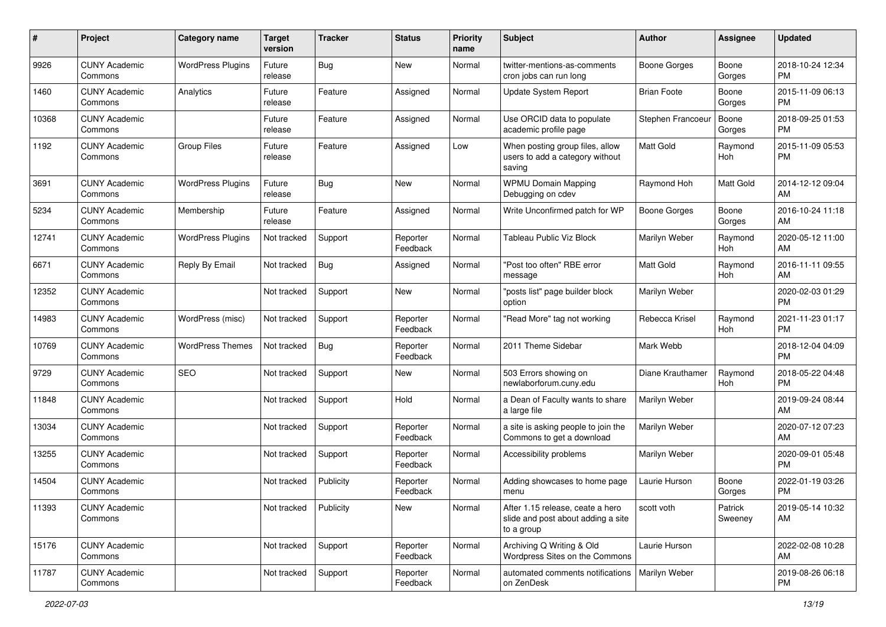| #     | Project                         | <b>Category name</b>     | <b>Target</b><br>version | <b>Tracker</b> | <b>Status</b>        | <b>Priority</b><br>name | <b>Subject</b>                                                                       | Author              | <b>Assignee</b>    | <b>Updated</b>                |
|-------|---------------------------------|--------------------------|--------------------------|----------------|----------------------|-------------------------|--------------------------------------------------------------------------------------|---------------------|--------------------|-------------------------------|
| 9926  | <b>CUNY Academic</b><br>Commons | <b>WordPress Plugins</b> | Future<br>release        | Bug            | New                  | Normal                  | twitter-mentions-as-comments<br>cron jobs can run long                               | <b>Boone Gorges</b> | Boone<br>Gorges    | 2018-10-24 12:34<br><b>PM</b> |
| 1460  | <b>CUNY Academic</b><br>Commons | Analytics                | Future<br>release        | Feature        | Assigned             | Normal                  | Update System Report                                                                 | <b>Brian Foote</b>  | Boone<br>Gorges    | 2015-11-09 06:13<br><b>PM</b> |
| 10368 | <b>CUNY Academic</b><br>Commons |                          | Future<br>release        | Feature        | Assigned             | Normal                  | Use ORCID data to populate<br>academic profile page                                  | Stephen Francoeur   | Boone<br>Gorges    | 2018-09-25 01:53<br><b>PM</b> |
| 1192  | <b>CUNY Academic</b><br>Commons | <b>Group Files</b>       | Future<br>release        | Feature        | Assigned             | Low                     | When posting group files, allow<br>users to add a category without<br>saving         | <b>Matt Gold</b>    | Raymond<br>Hoh     | 2015-11-09 05:53<br><b>PM</b> |
| 3691  | <b>CUNY Academic</b><br>Commons | <b>WordPress Plugins</b> | Future<br>release        | Bug            | New                  | Normal                  | <b>WPMU Domain Mapping</b><br>Debugging on cdev                                      | Raymond Hoh         | Matt Gold          | 2014-12-12 09:04<br>AM        |
| 5234  | <b>CUNY Academic</b><br>Commons | Membership               | Future<br>release        | Feature        | Assigned             | Normal                  | Write Unconfirmed patch for WP                                                       | Boone Gorges        | Boone<br>Gorges    | 2016-10-24 11:18<br>AM        |
| 12741 | <b>CUNY Academic</b><br>Commons | <b>WordPress Plugins</b> | Not tracked              | Support        | Reporter<br>Feedback | Normal                  | <b>Tableau Public Viz Block</b>                                                      | Marilyn Weber       | Raymond<br>Hoh     | 2020-05-12 11:00<br>AM        |
| 6671  | <b>CUNY Academic</b><br>Commons | Reply By Email           | Not tracked              | Bug            | Assigned             | Normal                  | "Post too often" RBE error<br>message                                                | Matt Gold           | Raymond<br>Hoh     | 2016-11-11 09:55<br>AM        |
| 12352 | <b>CUNY Academic</b><br>Commons |                          | Not tracked              | Support        | New                  | Normal                  | "posts list" page builder block<br>option                                            | Marilyn Weber       |                    | 2020-02-03 01:29<br><b>PM</b> |
| 14983 | <b>CUNY Academic</b><br>Commons | WordPress (misc)         | Not tracked              | Support        | Reporter<br>Feedback | Normal                  | "Read More" tag not working                                                          | Rebecca Krisel      | Raymond<br>Hoh     | 2021-11-23 01:17<br><b>PM</b> |
| 10769 | <b>CUNY Academic</b><br>Commons | <b>WordPress Themes</b>  | Not tracked              | Bug            | Reporter<br>Feedback | Normal                  | 2011 Theme Sidebar                                                                   | Mark Webb           |                    | 2018-12-04 04:09<br><b>PM</b> |
| 9729  | <b>CUNY Academic</b><br>Commons | <b>SEO</b>               | Not tracked              | Support        | New                  | Normal                  | 503 Errors showing on<br>newlaborforum.cuny.edu                                      | Diane Krauthamer    | Raymond<br>Hoh     | 2018-05-22 04:48<br><b>PM</b> |
| 11848 | <b>CUNY Academic</b><br>Commons |                          | Not tracked              | Support        | Hold                 | Normal                  | a Dean of Faculty wants to share<br>a large file                                     | Marilyn Weber       |                    | 2019-09-24 08:44<br>AM        |
| 13034 | <b>CUNY Academic</b><br>Commons |                          | Not tracked              | Support        | Reporter<br>Feedback | Normal                  | a site is asking people to join the<br>Commons to get a download                     | Marilyn Weber       |                    | 2020-07-12 07:23<br>AM        |
| 13255 | <b>CUNY Academic</b><br>Commons |                          | Not tracked              | Support        | Reporter<br>Feedback | Normal                  | Accessibility problems                                                               | Marilyn Weber       |                    | 2020-09-01 05:48<br><b>PM</b> |
| 14504 | <b>CUNY Academic</b><br>Commons |                          | Not tracked              | Publicity      | Reporter<br>Feedback | Normal                  | Adding showcases to home page<br>menu                                                | Laurie Hurson       | Boone<br>Gorges    | 2022-01-19 03:26<br><b>PM</b> |
| 11393 | <b>CUNY Academic</b><br>Commons |                          | Not tracked              | Publicity      | New                  | Normal                  | After 1.15 release, ceate a hero<br>slide and post about adding a site<br>to a group | scott voth          | Patrick<br>Sweeney | 2019-05-14 10:32<br>AM        |
| 15176 | <b>CUNY Academic</b><br>Commons |                          | Not tracked              | Support        | Reporter<br>Feedback | Normal                  | Archiving Q Writing & Old<br>Wordpress Sites on the Commons                          | Laurie Hurson       |                    | 2022-02-08 10:28<br>AM        |
| 11787 | <b>CUNY Academic</b><br>Commons |                          | Not tracked              | Support        | Reporter<br>Feedback | Normal                  | automated comments notifications   Marilyn Weber<br>on ZenDesk                       |                     |                    | 2019-08-26 06:18<br><b>PM</b> |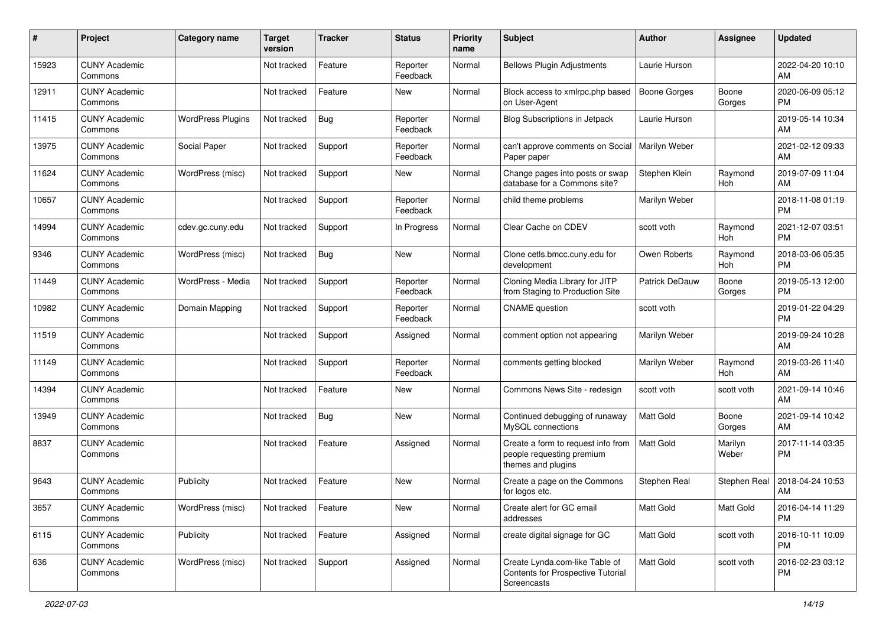| #     | Project                         | Category name            | Target<br>version | <b>Tracker</b> | <b>Status</b>        | Priority<br>name | <b>Subject</b>                                                                        | <b>Author</b>       | <b>Assignee</b>  | <b>Updated</b>                |
|-------|---------------------------------|--------------------------|-------------------|----------------|----------------------|------------------|---------------------------------------------------------------------------------------|---------------------|------------------|-------------------------------|
| 15923 | <b>CUNY Academic</b><br>Commons |                          | Not tracked       | Feature        | Reporter<br>Feedback | Normal           | <b>Bellows Plugin Adjustments</b>                                                     | Laurie Hurson       |                  | 2022-04-20 10:10<br>AM        |
| 12911 | <b>CUNY Academic</b><br>Commons |                          | Not tracked       | Feature        | New                  | Normal           | Block access to xmlrpc.php based<br>on User-Agent                                     | <b>Boone Gorges</b> | Boone<br>Gorges  | 2020-06-09 05:12<br><b>PM</b> |
| 11415 | <b>CUNY Academic</b><br>Commons | <b>WordPress Plugins</b> | Not tracked       | <b>Bug</b>     | Reporter<br>Feedback | Normal           | Blog Subscriptions in Jetpack                                                         | Laurie Hurson       |                  | 2019-05-14 10:34<br>AM        |
| 13975 | <b>CUNY Academic</b><br>Commons | Social Paper             | Not tracked       | Support        | Reporter<br>Feedback | Normal           | can't approve comments on Social<br>Paper paper                                       | Marilyn Weber       |                  | 2021-02-12 09:33<br>AM        |
| 11624 | <b>CUNY Academic</b><br>Commons | WordPress (misc)         | Not tracked       | Support        | New                  | Normal           | Change pages into posts or swap<br>database for a Commons site?                       | Stephen Klein       | Raymond<br>Hoh   | 2019-07-09 11:04<br>AM        |
| 10657 | <b>CUNY Academic</b><br>Commons |                          | Not tracked       | Support        | Reporter<br>Feedback | Normal           | child theme problems                                                                  | Marilyn Weber       |                  | 2018-11-08 01:19<br><b>PM</b> |
| 14994 | <b>CUNY Academic</b><br>Commons | cdev.gc.cuny.edu         | Not tracked       | Support        | In Progress          | Normal           | Clear Cache on CDEV                                                                   | scott voth          | Raymond<br>Hoh   | 2021-12-07 03:51<br><b>PM</b> |
| 9346  | <b>CUNY Academic</b><br>Commons | WordPress (misc)         | Not tracked       | Bug            | <b>New</b>           | Normal           | Clone cetls.bmcc.cuny.edu for<br>development                                          | Owen Roberts        | Raymond<br>Hoh   | 2018-03-06 05:35<br><b>PM</b> |
| 11449 | <b>CUNY Academic</b><br>Commons | WordPress - Media        | Not tracked       | Support        | Reporter<br>Feedback | Normal           | Cloning Media Library for JITP<br>from Staging to Production Site                     | Patrick DeDauw      | Boone<br>Gorges  | 2019-05-13 12:00<br><b>PM</b> |
| 10982 | <b>CUNY Academic</b><br>Commons | Domain Mapping           | Not tracked       | Support        | Reporter<br>Feedback | Normal           | <b>CNAME</b> question                                                                 | scott voth          |                  | 2019-01-22 04:29<br><b>PM</b> |
| 11519 | <b>CUNY Academic</b><br>Commons |                          | Not tracked       | Support        | Assigned             | Normal           | comment option not appearing                                                          | Marilyn Weber       |                  | 2019-09-24 10:28<br>AM        |
| 11149 | <b>CUNY Academic</b><br>Commons |                          | Not tracked       | Support        | Reporter<br>Feedback | Normal           | comments getting blocked                                                              | Marilyn Weber       | Raymond<br>Hoh   | 2019-03-26 11:40<br>AM        |
| 14394 | <b>CUNY Academic</b><br>Commons |                          | Not tracked       | Feature        | New                  | Normal           | Commons News Site - redesign                                                          | scott voth          | scott voth       | 2021-09-14 10:46<br>AM        |
| 13949 | <b>CUNY Academic</b><br>Commons |                          | Not tracked       | Bug            | New                  | Normal           | Continued debugging of runaway<br>MySQL connections                                   | <b>Matt Gold</b>    | Boone<br>Gorges  | 2021-09-14 10:42<br>AM        |
| 8837  | <b>CUNY Academic</b><br>Commons |                          | Not tracked       | Feature        | Assigned             | Normal           | Create a form to request info from<br>people requesting premium<br>themes and plugins | <b>Matt Gold</b>    | Marilyn<br>Weber | 2017-11-14 03:35<br><b>PM</b> |
| 9643  | <b>CUNY Academic</b><br>Commons | Publicity                | Not tracked       | Feature        | New                  | Normal           | Create a page on the Commons<br>for logos etc.                                        | Stephen Real        | Stephen Real     | 2018-04-24 10:53<br>AM        |
| 3657  | <b>CUNY Academic</b><br>Commons | WordPress (misc)         | Not tracked       | Feature        | New                  | Normal           | Create alert for GC email<br>addresses                                                | Matt Gold           | Matt Gold        | 2016-04-14 11:29<br><b>PM</b> |
| 6115  | <b>CUNY Academic</b><br>Commons | Publicity                | Not tracked       | Feature        | Assigned             | Normal           | create digital signage for GC                                                         | Matt Gold           | scott voth       | 2016-10-11 10:09<br><b>PM</b> |
| 636   | <b>CUNY Academic</b><br>Commons | WordPress (misc)         | Not tracked       | Support        | Assigned             | Normal           | Create Lynda.com-like Table of<br>Contents for Prospective Tutorial<br>Screencasts    | Matt Gold           | scott voth       | 2016-02-23 03:12<br>PM        |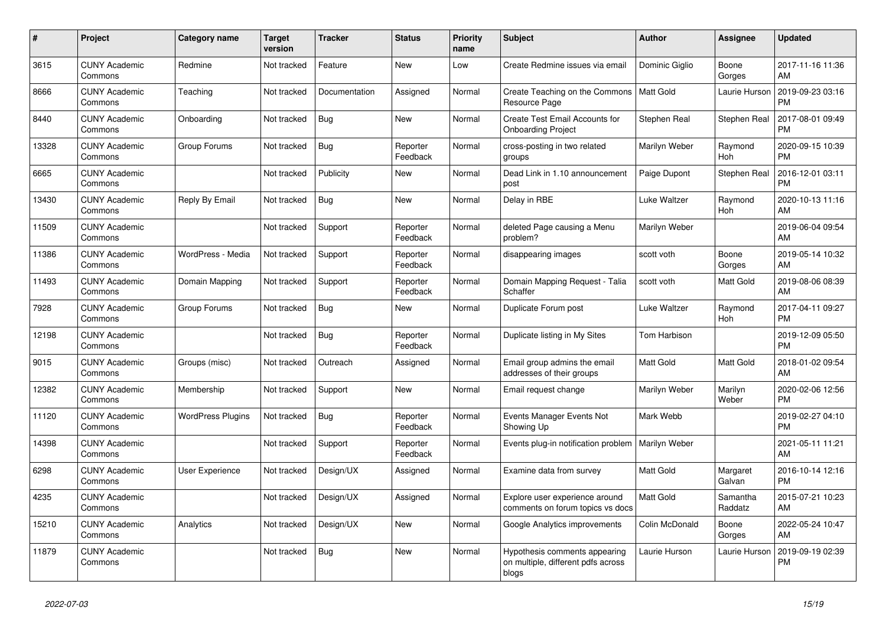| #     | Project                         | <b>Category name</b>     | <b>Target</b><br>version | <b>Tracker</b> | <b>Status</b>        | <b>Priority</b><br>name | <b>Subject</b>                                                               | <b>Author</b>    | Assignee            | <b>Updated</b>                |
|-------|---------------------------------|--------------------------|--------------------------|----------------|----------------------|-------------------------|------------------------------------------------------------------------------|------------------|---------------------|-------------------------------|
| 3615  | <b>CUNY Academic</b><br>Commons | Redmine                  | Not tracked              | Feature        | New                  | Low                     | Create Redmine issues via email                                              | Dominic Giglio   | Boone<br>Gorges     | 2017-11-16 11:36<br>AM        |
| 8666  | <b>CUNY Academic</b><br>Commons | Teaching                 | Not tracked              | Documentation  | Assigned             | Normal                  | Create Teaching on the Commons<br>Resource Page                              | <b>Matt Gold</b> | Laurie Hurson       | 2019-09-23 03:16<br><b>PM</b> |
| 8440  | <b>CUNY Academic</b><br>Commons | Onboarding               | Not tracked              | Bug            | New                  | Normal                  | Create Test Email Accounts for<br><b>Onboarding Project</b>                  | Stephen Real     | Stephen Real        | 2017-08-01 09:49<br><b>PM</b> |
| 13328 | <b>CUNY Academic</b><br>Commons | Group Forums             | Not tracked              | <b>Bug</b>     | Reporter<br>Feedback | Normal                  | cross-posting in two related<br>groups                                       | Marilyn Weber    | Raymond<br>Hoh      | 2020-09-15 10:39<br><b>PM</b> |
| 6665  | <b>CUNY Academic</b><br>Commons |                          | Not tracked              | Publicity      | <b>New</b>           | Normal                  | Dead Link in 1.10 announcement<br>post                                       | Paige Dupont     | Stephen Real        | 2016-12-01 03:11<br><b>PM</b> |
| 13430 | <b>CUNY Academic</b><br>Commons | Reply By Email           | Not tracked              | Bug            | New                  | Normal                  | Delay in RBE                                                                 | Luke Waltzer     | Raymond<br>Hoh      | 2020-10-13 11:16<br>AM        |
| 11509 | <b>CUNY Academic</b><br>Commons |                          | Not tracked              | Support        | Reporter<br>Feedback | Normal                  | deleted Page causing a Menu<br>problem?                                      | Marilyn Weber    |                     | 2019-06-04 09:54<br>AM        |
| 11386 | <b>CUNY Academic</b><br>Commons | WordPress - Media        | Not tracked              | Support        | Reporter<br>Feedback | Normal                  | disappearing images                                                          | scott voth       | Boone<br>Gorges     | 2019-05-14 10:32<br>AM        |
| 11493 | <b>CUNY Academic</b><br>Commons | Domain Mapping           | Not tracked              | Support        | Reporter<br>Feedback | Normal                  | Domain Mapping Request - Talia<br>Schaffer                                   | scott voth       | Matt Gold           | 2019-08-06 08:39<br>AM        |
| 7928  | <b>CUNY Academic</b><br>Commons | Group Forums             | Not tracked              | Bug            | New                  | Normal                  | Duplicate Forum post                                                         | Luke Waltzer     | Raymond<br>Hoh      | 2017-04-11 09:27<br><b>PM</b> |
| 12198 | <b>CUNY Academic</b><br>Commons |                          | Not tracked              | Bug            | Reporter<br>Feedback | Normal                  | Duplicate listing in My Sites                                                | Tom Harbison     |                     | 2019-12-09 05:50<br><b>PM</b> |
| 9015  | <b>CUNY Academic</b><br>Commons | Groups (misc)            | Not tracked              | Outreach       | Assigned             | Normal                  | Email group admins the email<br>addresses of their groups                    | Matt Gold        | Matt Gold           | 2018-01-02 09:54<br>AM        |
| 12382 | <b>CUNY Academic</b><br>Commons | Membership               | Not tracked              | Support        | <b>New</b>           | Normal                  | Email request change                                                         | Marilyn Weber    | Marilyn<br>Weber    | 2020-02-06 12:56<br><b>PM</b> |
| 11120 | <b>CUNY Academic</b><br>Commons | <b>WordPress Plugins</b> | Not tracked              | Bug            | Reporter<br>Feedback | Normal                  | Events Manager Events Not<br>Showing Up                                      | Mark Webb        |                     | 2019-02-27 04:10<br><b>PM</b> |
| 14398 | <b>CUNY Academic</b><br>Commons |                          | Not tracked              | Support        | Reporter<br>Feedback | Normal                  | Events plug-in notification problem                                          | Marilyn Weber    |                     | 2021-05-11 11:21<br>AM        |
| 6298  | <b>CUNY Academic</b><br>Commons | <b>User Experience</b>   | Not tracked              | Design/UX      | Assigned             | Normal                  | Examine data from survey                                                     | Matt Gold        | Margaret<br>Galvan  | 2016-10-14 12:16<br><b>PM</b> |
| 4235  | <b>CUNY Academic</b><br>Commons |                          | Not tracked              | Design/UX      | Assigned             | Normal                  | Explore user experience around<br>comments on forum topics vs docs           | <b>Matt Gold</b> | Samantha<br>Raddatz | 2015-07-21 10:23<br>AM        |
| 15210 | <b>CUNY Academic</b><br>Commons | Analytics                | Not tracked              | Design/UX      | <b>New</b>           | Normal                  | Google Analytics improvements                                                | Colin McDonald   | Boone<br>Gorges     | 2022-05-24 10:47<br>AM        |
| 11879 | <b>CUNY Academic</b><br>Commons |                          | Not tracked              | <b>Bug</b>     | New                  | Normal                  | Hypothesis comments appearing<br>on multiple, different pdfs across<br>blogs | Laurie Hurson    | Laurie Hurson       | 2019-09-19 02:39<br><b>PM</b> |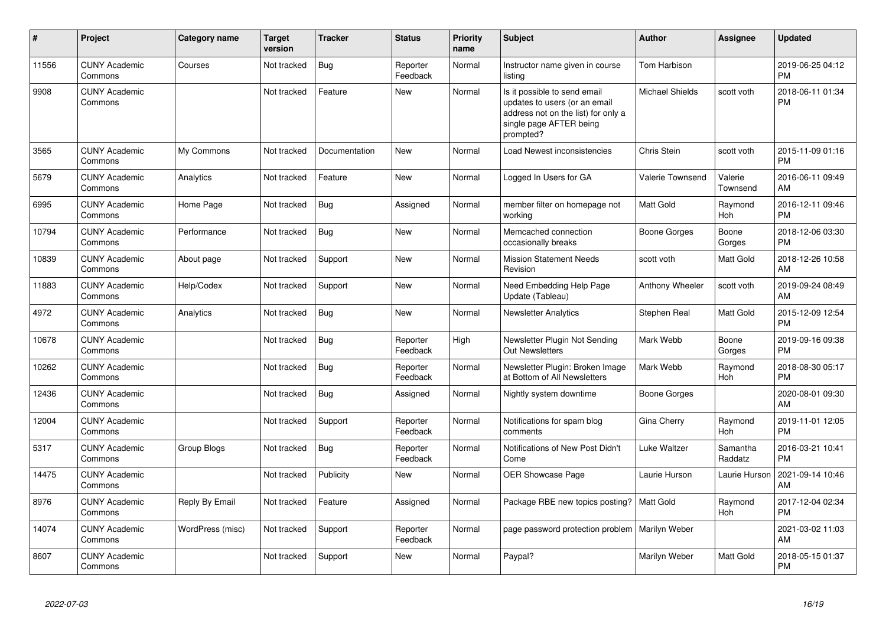| #     | Project                         | Category name    | <b>Target</b><br>version | <b>Tracker</b> | <b>Status</b>        | <b>Priority</b><br>name | <b>Subject</b>                                                                                                                               | <b>Author</b>           | <b>Assignee</b>     | <b>Updated</b>                |
|-------|---------------------------------|------------------|--------------------------|----------------|----------------------|-------------------------|----------------------------------------------------------------------------------------------------------------------------------------------|-------------------------|---------------------|-------------------------------|
| 11556 | <b>CUNY Academic</b><br>Commons | Courses          | Not tracked              | Bug            | Reporter<br>Feedback | Normal                  | Instructor name given in course<br>listing                                                                                                   | <b>Tom Harbison</b>     |                     | 2019-06-25 04:12<br><b>PM</b> |
| 9908  | <b>CUNY Academic</b><br>Commons |                  | Not tracked              | Feature        | <b>New</b>           | Normal                  | Is it possible to send email<br>updates to users (or an email<br>address not on the list) for only a<br>single page AFTER being<br>prompted? | <b>Michael Shields</b>  | scott voth          | 2018-06-11 01:34<br><b>PM</b> |
| 3565  | <b>CUNY Academic</b><br>Commons | My Commons       | Not tracked              | Documentation  | <b>New</b>           | Normal                  | Load Newest inconsistencies                                                                                                                  | Chris Stein             | scott voth          | 2015-11-09 01:16<br><b>PM</b> |
| 5679  | <b>CUNY Academic</b><br>Commons | Analytics        | Not tracked              | Feature        | <b>New</b>           | Normal                  | Logged In Users for GA                                                                                                                       | <b>Valerie Townsend</b> | Valerie<br>Townsend | 2016-06-11 09:49<br>AM        |
| 6995  | <b>CUNY Academic</b><br>Commons | Home Page        | Not tracked              | Bug            | Assigned             | Normal                  | member filter on homepage not<br>working                                                                                                     | <b>Matt Gold</b>        | Raymond<br>Hoh      | 2016-12-11 09:46<br><b>PM</b> |
| 10794 | <b>CUNY Academic</b><br>Commons | Performance      | Not tracked              | Bug            | <b>New</b>           | Normal                  | Memcached connection<br>occasionally breaks                                                                                                  | Boone Gorges            | Boone<br>Gorges     | 2018-12-06 03:30<br><b>PM</b> |
| 10839 | <b>CUNY Academic</b><br>Commons | About page       | Not tracked              | Support        | <b>New</b>           | Normal                  | <b>Mission Statement Needs</b><br>Revision                                                                                                   | scott voth              | Matt Gold           | 2018-12-26 10:58<br>AM        |
| 11883 | <b>CUNY Academic</b><br>Commons | Help/Codex       | Not tracked              | Support        | <b>New</b>           | Normal                  | Need Embedding Help Page<br>Update (Tableau)                                                                                                 | Anthony Wheeler         | scott voth          | 2019-09-24 08:49<br>AM        |
| 4972  | <b>CUNY Academic</b><br>Commons | Analytics        | Not tracked              | Bug            | <b>New</b>           | Normal                  | <b>Newsletter Analytics</b>                                                                                                                  | Stephen Real            | Matt Gold           | 2015-12-09 12:54<br><b>PM</b> |
| 10678 | <b>CUNY Academic</b><br>Commons |                  | Not tracked              | <b>Bug</b>     | Reporter<br>Feedback | High                    | Newsletter Plugin Not Sending<br>Out Newsletters                                                                                             | Mark Webb               | Boone<br>Gorges     | 2019-09-16 09:38<br><b>PM</b> |
| 10262 | <b>CUNY Academic</b><br>Commons |                  | Not tracked              | <b>Bug</b>     | Reporter<br>Feedback | Normal                  | Newsletter Plugin: Broken Image<br>at Bottom of All Newsletters                                                                              | Mark Webb               | Raymond<br>Hoh      | 2018-08-30 05:17<br><b>PM</b> |
| 12436 | <b>CUNY Academic</b><br>Commons |                  | Not tracked              | Bug            | Assigned             | Normal                  | Nightly system downtime                                                                                                                      | Boone Gorges            |                     | 2020-08-01 09:30<br>AM        |
| 12004 | <b>CUNY Academic</b><br>Commons |                  | Not tracked              | Support        | Reporter<br>Feedback | Normal                  | Notifications for spam blog<br>comments                                                                                                      | Gina Cherry             | Raymond<br>Hoh      | 2019-11-01 12:05<br><b>PM</b> |
| 5317  | <b>CUNY Academic</b><br>Commons | Group Blogs      | Not tracked              | <b>Bug</b>     | Reporter<br>Feedback | Normal                  | Notifications of New Post Didn't<br>Come                                                                                                     | Luke Waltzer            | Samantha<br>Raddatz | 2016-03-21 10:41<br><b>PM</b> |
| 14475 | <b>CUNY Academic</b><br>Commons |                  | Not tracked              | Publicity      | <b>New</b>           | Normal                  | <b>OER Showcase Page</b>                                                                                                                     | Laurie Hurson           | Laurie Hurson       | 2021-09-14 10:46<br>AM        |
| 8976  | <b>CUNY Academic</b><br>Commons | Reply By Email   | Not tracked              | Feature        | Assigned             | Normal                  | Package RBE new topics posting?   Matt Gold                                                                                                  |                         | Raymond<br>Hoh      | 2017-12-04 02:34<br><b>PM</b> |
| 14074 | <b>CUNY Academic</b><br>Commons | WordPress (misc) | Not tracked              | Support        | Reporter<br>Feedback | Normal                  | page password protection problem   Marilyn Weber                                                                                             |                         |                     | 2021-03-02 11:03<br>AM        |
| 8607  | <b>CUNY Academic</b><br>Commons |                  | Not tracked              | Support        | <b>New</b>           | Normal                  | Paypal?                                                                                                                                      | Marilyn Weber           | Matt Gold           | 2018-05-15 01:37<br><b>PM</b> |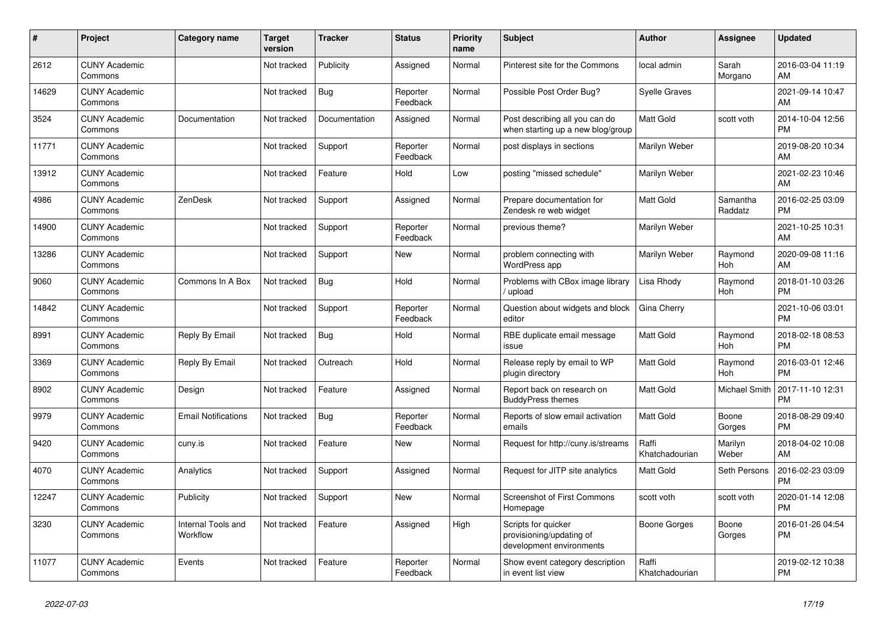| $\vert$ # | <b>Project</b>                  | Category name                  | <b>Target</b><br>version | <b>Tracker</b> | <b>Status</b>        | <b>Priority</b><br>name | <b>Subject</b>                                                              | <b>Author</b>           | Assignee            | <b>Updated</b>                |
|-----------|---------------------------------|--------------------------------|--------------------------|----------------|----------------------|-------------------------|-----------------------------------------------------------------------------|-------------------------|---------------------|-------------------------------|
| 2612      | <b>CUNY Academic</b><br>Commons |                                | Not tracked              | Publicity      | Assigned             | Normal                  | Pinterest site for the Commons                                              | local admin             | Sarah<br>Morgano    | 2016-03-04 11:19<br>AM        |
| 14629     | <b>CUNY Academic</b><br>Commons |                                | Not tracked              | <b>Bug</b>     | Reporter<br>Feedback | Normal                  | Possible Post Order Bug?                                                    | <b>Syelle Graves</b>    |                     | 2021-09-14 10:47<br>AM        |
| 3524      | <b>CUNY Academic</b><br>Commons | Documentation                  | Not tracked              | Documentation  | Assigned             | Normal                  | Post describing all you can do<br>when starting up a new blog/group         | <b>Matt Gold</b>        | scott voth          | 2014-10-04 12:56<br><b>PM</b> |
| 11771     | <b>CUNY Academic</b><br>Commons |                                | Not tracked              | Support        | Reporter<br>Feedback | Normal                  | post displays in sections                                                   | Marilyn Weber           |                     | 2019-08-20 10:34<br>AM        |
| 13912     | <b>CUNY Academic</b><br>Commons |                                | Not tracked              | Feature        | Hold                 | Low                     | posting "missed schedule"                                                   | Marilyn Weber           |                     | 2021-02-23 10:46<br>AM        |
| 4986      | <b>CUNY Academic</b><br>Commons | ZenDesk                        | Not tracked              | Support        | Assigned             | Normal                  | Prepare documentation for<br>Zendesk re web widget                          | <b>Matt Gold</b>        | Samantha<br>Raddatz | 2016-02-25 03:09<br><b>PM</b> |
| 14900     | <b>CUNY Academic</b><br>Commons |                                | Not tracked              | Support        | Reporter<br>Feedback | Normal                  | previous theme?                                                             | Marilyn Weber           |                     | 2021-10-25 10:31<br>AM        |
| 13286     | <b>CUNY Academic</b><br>Commons |                                | Not tracked              | Support        | <b>New</b>           | Normal                  | problem connecting with<br>WordPress app                                    | Marilyn Weber           | Raymond<br>Hoh      | 2020-09-08 11:16<br>AM        |
| 9060      | <b>CUNY Academic</b><br>Commons | Commons In A Box               | Not tracked              | Bug            | Hold                 | Normal                  | Problems with CBox image library<br>/ upload                                | Lisa Rhody              | Raymond<br>Hoh      | 2018-01-10 03:26<br><b>PM</b> |
| 14842     | <b>CUNY Academic</b><br>Commons |                                | Not tracked              | Support        | Reporter<br>Feedback | Normal                  | Question about widgets and block<br>editor                                  | Gina Cherry             |                     | 2021-10-06 03:01<br><b>PM</b> |
| 8991      | <b>CUNY Academic</b><br>Commons | Reply By Email                 | Not tracked              | Bug            | Hold                 | Normal                  | RBE duplicate email message<br>issue                                        | <b>Matt Gold</b>        | Raymond<br>Hoh      | 2018-02-18 08:53<br><b>PM</b> |
| 3369      | <b>CUNY Academic</b><br>Commons | Reply By Email                 | Not tracked              | Outreach       | Hold                 | Normal                  | Release reply by email to WP<br>plugin directory                            | <b>Matt Gold</b>        | Raymond<br>Hoh      | 2016-03-01 12:46<br><b>PM</b> |
| 8902      | <b>CUNY Academic</b><br>Commons | Design                         | Not tracked              | Feature        | Assigned             | Normal                  | Report back on research on<br><b>BuddyPress themes</b>                      | <b>Matt Gold</b>        | Michael Smith       | 2017-11-10 12:31<br><b>PM</b> |
| 9979      | <b>CUNY Academic</b><br>Commons | <b>Email Notifications</b>     | Not tracked              | Bug            | Reporter<br>Feedback | Normal                  | Reports of slow email activation<br>emails                                  | <b>Matt Gold</b>        | Boone<br>Gorges     | 2018-08-29 09:40<br><b>PM</b> |
| 9420      | <b>CUNY Academic</b><br>Commons | cuny.is                        | Not tracked              | Feature        | <b>New</b>           | Normal                  | Request for http://cuny.is/streams                                          | Raffi<br>Khatchadourian | Marilyn<br>Weber    | 2018-04-02 10:08<br>AM        |
| 4070      | <b>CUNY Academic</b><br>Commons | Analytics                      | Not tracked              | Support        | Assigned             | Normal                  | Request for JITP site analytics                                             | <b>Matt Gold</b>        | Seth Persons        | 2016-02-23 03:09<br><b>PM</b> |
| 12247     | <b>CUNY Academic</b><br>Commons | Publicity                      | Not tracked              | Support        | <b>New</b>           | Normal                  | <b>Screenshot of First Commons</b><br>Homepage                              | scott voth              | scott voth          | 2020-01-14 12:08<br><b>PM</b> |
| 3230      | <b>CUNY Academic</b><br>Commons | Internal Tools and<br>Workflow | Not tracked              | Feature        | Assigned             | High                    | Scripts for quicker<br>provisioning/updating of<br>development environments | Boone Gorges            | Boone<br>Gorges     | 2016-01-26 04:54<br><b>PM</b> |
| 11077     | <b>CUNY Academic</b><br>Commons | Events                         | Not tracked              | Feature        | Reporter<br>Feedback | Normal                  | Show event category description<br>in event list view                       | Raffi<br>Khatchadourian |                     | 2019-02-12 10:38<br><b>PM</b> |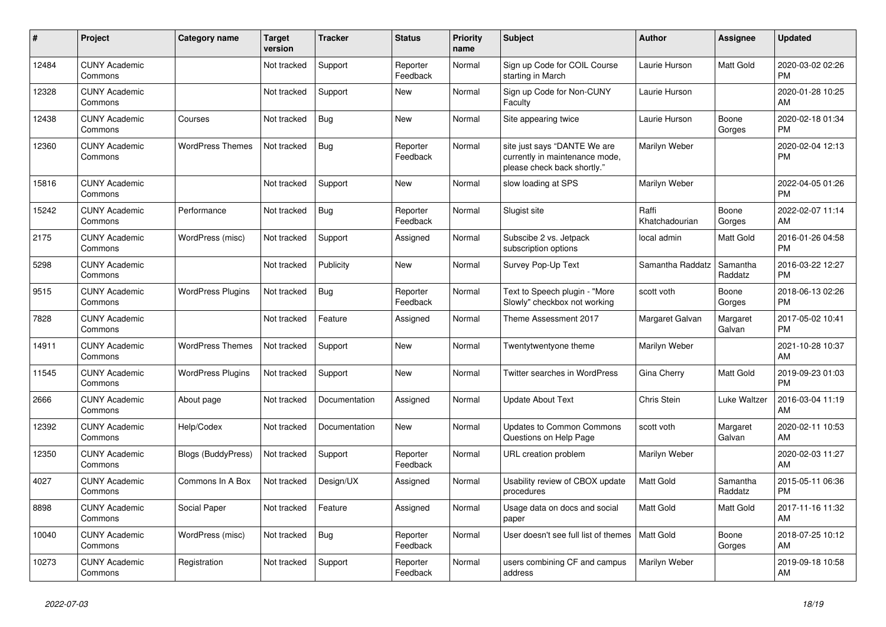| $\vert$ # | <b>Project</b>                  | Category name            | <b>Target</b><br>version | <b>Tracker</b> | <b>Status</b>        | Priority<br>name | <b>Subject</b>                                                                                | <b>Author</b>           | Assignee            | <b>Updated</b>                |
|-----------|---------------------------------|--------------------------|--------------------------|----------------|----------------------|------------------|-----------------------------------------------------------------------------------------------|-------------------------|---------------------|-------------------------------|
| 12484     | <b>CUNY Academic</b><br>Commons |                          | Not tracked              | Support        | Reporter<br>Feedback | Normal           | Sign up Code for COIL Course<br>starting in March                                             | Laurie Hurson           | Matt Gold           | 2020-03-02 02:26<br><b>PM</b> |
| 12328     | <b>CUNY Academic</b><br>Commons |                          | Not tracked              | Support        | <b>New</b>           | Normal           | Sign up Code for Non-CUNY<br>Faculty                                                          | Laurie Hurson           |                     | 2020-01-28 10:25<br>AM        |
| 12438     | <b>CUNY Academic</b><br>Commons | Courses                  | Not tracked              | Bug            | <b>New</b>           | Normal           | Site appearing twice                                                                          | Laurie Hurson           | Boone<br>Gorges     | 2020-02-18 01:34<br><b>PM</b> |
| 12360     | <b>CUNY Academic</b><br>Commons | <b>WordPress Themes</b>  | Not tracked              | Bug            | Reporter<br>Feedback | Normal           | site just says "DANTE We are<br>currently in maintenance mode,<br>please check back shortly." | Marilyn Weber           |                     | 2020-02-04 12:13<br><b>PM</b> |
| 15816     | <b>CUNY Academic</b><br>Commons |                          | Not tracked              | Support        | <b>New</b>           | Normal           | slow loading at SPS                                                                           | Marilyn Weber           |                     | 2022-04-05 01:26<br><b>PM</b> |
| 15242     | <b>CUNY Academic</b><br>Commons | Performance              | Not tracked              | Bug            | Reporter<br>Feedback | Normal           | Slugist site                                                                                  | Raffi<br>Khatchadourian | Boone<br>Gorges     | 2022-02-07 11:14<br>AM        |
| 2175      | <b>CUNY Academic</b><br>Commons | WordPress (misc)         | Not tracked              | Support        | Assigned             | Normal           | Subscibe 2 vs. Jetpack<br>subscription options                                                | local admin             | Matt Gold           | 2016-01-26 04:58<br><b>PM</b> |
| 5298      | <b>CUNY Academic</b><br>Commons |                          | Not tracked              | Publicity      | <b>New</b>           | Normal           | Survey Pop-Up Text                                                                            | Samantha Raddatz        | Samantha<br>Raddatz | 2016-03-22 12:27<br><b>PM</b> |
| 9515      | <b>CUNY Academic</b><br>Commons | <b>WordPress Plugins</b> | Not tracked              | Bug            | Reporter<br>Feedback | Normal           | Text to Speech plugin - "More<br>Slowly" checkbox not working                                 | scott voth              | Boone<br>Gorges     | 2018-06-13 02:26<br><b>PM</b> |
| 7828      | <b>CUNY Academic</b><br>Commons |                          | Not tracked              | Feature        | Assigned             | Normal           | Theme Assessment 2017                                                                         | Margaret Galvan         | Margaret<br>Galvan  | 2017-05-02 10:41<br><b>PM</b> |
| 14911     | <b>CUNY Academic</b><br>Commons | <b>WordPress Themes</b>  | Not tracked              | Support        | <b>New</b>           | Normal           | Twentytwentyone theme                                                                         | Marilyn Weber           |                     | 2021-10-28 10:37<br>AM        |
| 11545     | <b>CUNY Academic</b><br>Commons | <b>WordPress Plugins</b> | Not tracked              | Support        | New                  | Normal           | Twitter searches in WordPress                                                                 | Gina Cherry             | Matt Gold           | 2019-09-23 01:03<br><b>PM</b> |
| 2666      | <b>CUNY Academic</b><br>Commons | About page               | Not tracked              | Documentation  | Assigned             | Normal           | <b>Update About Text</b>                                                                      | Chris Stein             | Luke Waltzer        | 2016-03-04 11:19<br>AM        |
| 12392     | <b>CUNY Academic</b><br>Commons | Help/Codex               | Not tracked              | Documentation  | <b>New</b>           | Normal           | <b>Updates to Common Commons</b><br>Questions on Help Page                                    | scott voth              | Margaret<br>Galvan  | 2020-02-11 10:53<br>AM        |
| 12350     | <b>CUNY Academic</b><br>Commons | Blogs (BuddyPress)       | Not tracked              | Support        | Reporter<br>Feedback | Normal           | URL creation problem                                                                          | Marilyn Weber           |                     | 2020-02-03 11:27<br>AM        |
| 4027      | <b>CUNY Academic</b><br>Commons | Commons In A Box         | Not tracked              | Design/UX      | Assigned             | Normal           | Usability review of CBOX update<br>procedures                                                 | <b>Matt Gold</b>        | Samantha<br>Raddatz | 2015-05-11 06:36<br><b>PM</b> |
| 8898      | <b>CUNY Academic</b><br>Commons | Social Paper             | Not tracked              | Feature        | Assigned             | Normal           | Usage data on docs and social<br>paper                                                        | <b>Matt Gold</b>        | Matt Gold           | 2017-11-16 11:32<br>AM        |
| 10040     | <b>CUNY Academic</b><br>Commons | WordPress (misc)         | Not tracked              | Bug            | Reporter<br>Feedback | Normal           | User doesn't see full list of themes                                                          | Matt Gold               | Boone<br>Gorges     | 2018-07-25 10:12<br>AM        |
| 10273     | <b>CUNY Academic</b><br>Commons | Registration             | Not tracked              | Support        | Reporter<br>Feedback | Normal           | users combining CF and campus<br>address                                                      | Marilyn Weber           |                     | 2019-09-18 10:58<br>AM        |